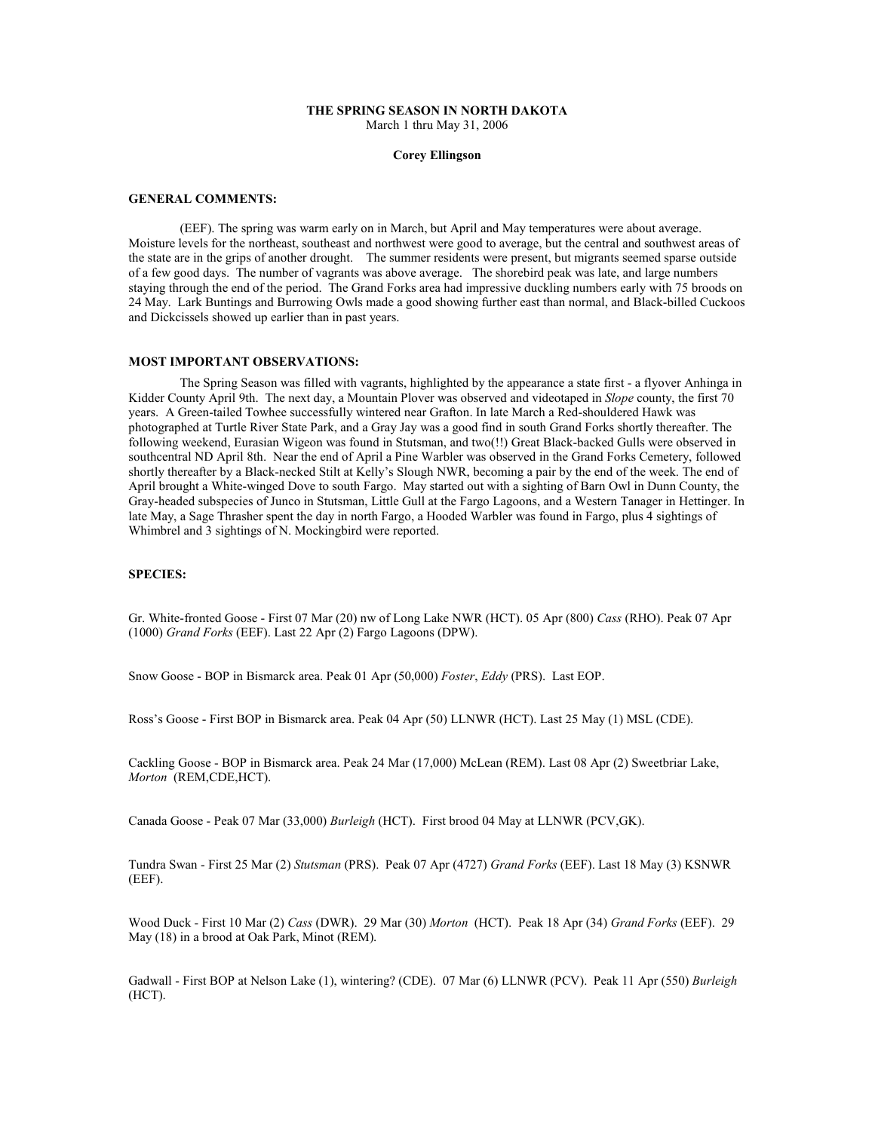### THE SPRING SEASON IN NORTH DAKOTA March 1 thru May 31, 2006

### Corey Ellingson

#### GENERAL COMMENTS:

 (EEF). The spring was warm early on in March, but April and May temperatures were about average. Moisture levels for the northeast, southeast and northwest were good to average, but the central and southwest areas of the state are in the grips of another drought. The summer residents were present, but migrants seemed sparse outside of a few good days. The number of vagrants was above average. The shorebird peak was late, and large numbers staying through the end of the period. The Grand Forks area had impressive duckling numbers early with 75 broods on 24 May. Lark Buntings and Burrowing Owls made a good showing further east than normal, and Black-billed Cuckoos and Dickcissels showed up earlier than in past years.

### MOST IMPORTANT OBSERVATIONS:

 The Spring Season was filled with vagrants, highlighted by the appearance a state first - a flyover Anhinga in Kidder County April 9th. The next day, a Mountain Plover was observed and videotaped in Slope county, the first 70 years. A Green-tailed Towhee successfully wintered near Grafton. In late March a Red-shouldered Hawk was photographed at Turtle River State Park, and a Gray Jay was a good find in south Grand Forks shortly thereafter. The following weekend, Eurasian Wigeon was found in Stutsman, and two(!!) Great Black-backed Gulls were observed in southcentral ND April 8th. Near the end of April a Pine Warbler was observed in the Grand Forks Cemetery, followed shortly thereafter by a Black-necked Stilt at Kelly's Slough NWR, becoming a pair by the end of the week. The end of April brought a White-winged Dove to south Fargo. May started out with a sighting of Barn Owl in Dunn County, the Gray-headed subspecies of Junco in Stutsman, Little Gull at the Fargo Lagoons, and a Western Tanager in Hettinger. In late May, a Sage Thrasher spent the day in north Fargo, a Hooded Warbler was found in Fargo, plus 4 sightings of Whimbrel and 3 sightings of N. Mockingbird were reported.

## SPECIES:

Gr. White-fronted Goose - First 07 Mar (20) nw of Long Lake NWR (HCT). 05 Apr (800) Cass (RHO). Peak 07 Apr (1000) Grand Forks (EEF). Last 22 Apr (2) Fargo Lagoons (DPW).

Snow Goose - BOP in Bismarck area. Peak 01 Apr (50,000) Foster, Eddy (PRS). Last EOP.

Ross's Goose - First BOP in Bismarck area. Peak 04 Apr (50) LLNWR (HCT). Last 25 May (1) MSL (CDE).

Cackling Goose - BOP in Bismarck area. Peak 24 Mar (17,000) McLean (REM). Last 08 Apr (2) Sweetbriar Lake, Morton (REM,CDE,HCT).

Canada Goose - Peak 07 Mar (33,000) Burleigh (HCT). First brood 04 May at LLNWR (PCV,GK).

Tundra Swan - First 25 Mar (2) Stutsman (PRS). Peak 07 Apr (4727) Grand Forks (EEF). Last 18 May (3) KSNWR (EEF).

Wood Duck - First 10 Mar (2) Cass (DWR). 29 Mar (30) Morton (HCT). Peak 18 Apr (34) Grand Forks (EEF). 29 May (18) in a brood at Oak Park, Minot (REM).

Gadwall - First BOP at Nelson Lake (1), wintering? (CDE). 07 Mar (6) LLNWR (PCV). Peak 11 Apr (550) Burleigh (HCT).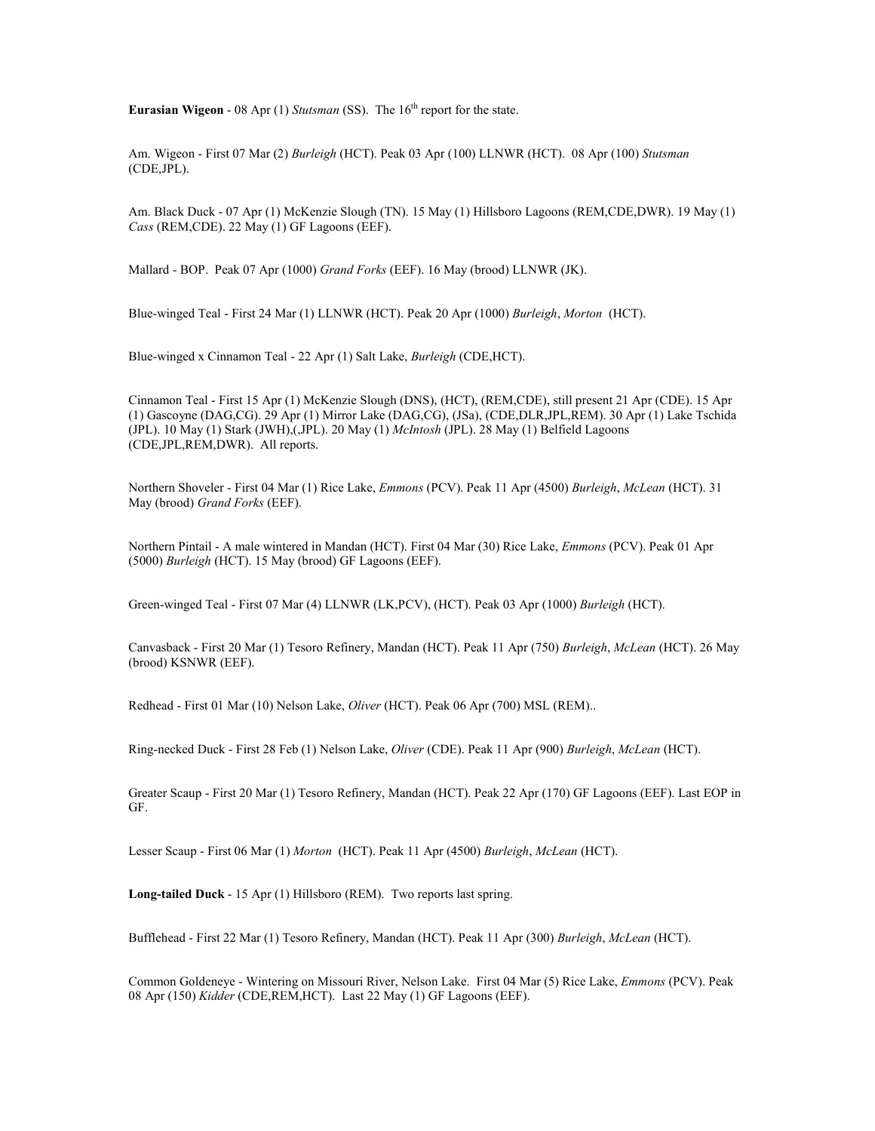**Eurasian Wigeon - 08 Apr (1) Stutsman (SS).** The  $16<sup>th</sup>$  report for the state.

Am. Wigeon - First 07 Mar (2) Burleigh (HCT). Peak 03 Apr (100) LLNWR (HCT). 08 Apr (100) Stutsman (CDE,JPL).

Am. Black Duck - 07 Apr (1) McKenzie Slough (TN). 15 May (1) Hillsboro Lagoons (REM,CDE,DWR). 19 May (1) Cass (REM,CDE). 22 May (1) GF Lagoons (EEF).

Mallard - BOP. Peak 07 Apr (1000) Grand Forks (EEF). 16 May (brood) LLNWR (JK).

Blue-winged Teal - First 24 Mar (1) LLNWR (HCT). Peak 20 Apr (1000) Burleigh, Morton (HCT).

Blue-winged x Cinnamon Teal - 22 Apr (1) Salt Lake, Burleigh (CDE,HCT).

Cinnamon Teal - First 15 Apr (1) McKenzie Slough (DNS), (HCT), (REM,CDE), still present 21 Apr (CDE). 15 Apr (1) Gascoyne (DAG,CG). 29 Apr (1) Mirror Lake (DAG,CG), (JSa), (CDE,DLR,JPL,REM). 30 Apr (1) Lake Tschida (JPL). 10 May (1) Stark (JWH), (JPL). 20 May (1) *McIntosh* (JPL). 28 May (1) Belfield Lagoons (CDE,JPL,REM,DWR). All reports.

Northern Shoveler - First 04 Mar (1) Rice Lake, Emmons (PCV). Peak 11 Apr (4500) Burleigh, McLean (HCT). 31 May (brood) Grand Forks (EEF).

Northern Pintail - A male wintered in Mandan (HCT). First 04 Mar (30) Rice Lake, *Emmons* (PCV). Peak 01 Apr (5000) Burleigh (HCT). 15 May (brood) GF Lagoons (EEF).

Green-winged Teal - First 07 Mar (4) LLNWR (LK,PCV), (HCT). Peak 03 Apr (1000) Burleigh (HCT).

Canvasback - First 20 Mar (1) Tesoro Refinery, Mandan (HCT). Peak 11 Apr (750) Burleigh, McLean (HCT). 26 May (brood) KSNWR (EEF).

Redhead - First 01 Mar (10) Nelson Lake, Oliver (HCT). Peak 06 Apr (700) MSL (REM)..

Ring-necked Duck - First 28 Feb (1) Nelson Lake, Oliver (CDE). Peak 11 Apr (900) Burleigh, McLean (HCT).

Greater Scaup - First 20 Mar (1) Tesoro Refinery, Mandan (HCT). Peak 22 Apr (170) GF Lagoons (EEF). Last EOP in GF.

Lesser Scaup - First 06 Mar (1) Morton (HCT). Peak 11 Apr (4500) Burleigh, McLean (HCT).

Long-tailed Duck - 15 Apr (1) Hillsboro (REM). Two reports last spring.

Bufflehead - First 22 Mar (1) Tesoro Refinery, Mandan (HCT). Peak 11 Apr (300) Burleigh, McLean (HCT).

Common Goldeneye - Wintering on Missouri River, Nelson Lake. First 04 Mar (5) Rice Lake, Emmons (PCV). Peak 08 Apr (150) Kidder (CDE,REM,HCT). Last 22 May (1) GF Lagoons (EEF).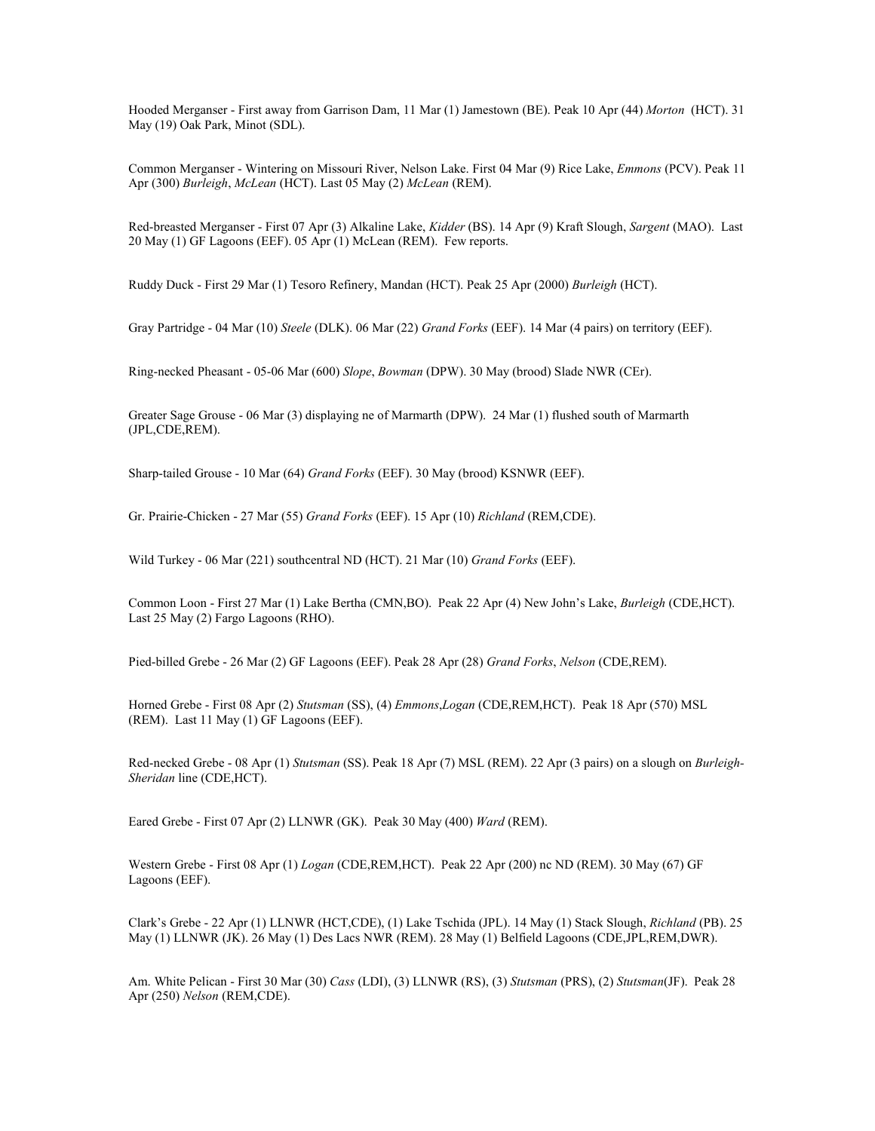Hooded Merganser - First away from Garrison Dam, 11 Mar (1) Jamestown (BE). Peak 10 Apr (44) Morton (HCT). 31 May (19) Oak Park, Minot (SDL).

Common Merganser - Wintering on Missouri River, Nelson Lake. First 04 Mar (9) Rice Lake, Emmons (PCV). Peak 11 Apr (300) Burleigh, McLean (HCT). Last 05 May (2) McLean (REM).

Red-breasted Merganser - First 07 Apr (3) Alkaline Lake, Kidder (BS). 14 Apr (9) Kraft Slough, Sargent (MAO). Last 20 May (1) GF Lagoons (EEF). 05 Apr (1) McLean (REM). Few reports.

Ruddy Duck - First 29 Mar (1) Tesoro Refinery, Mandan (HCT). Peak 25 Apr (2000) Burleigh (HCT).

Gray Partridge - 04 Mar (10) Steele (DLK). 06 Mar (22) Grand Forks (EEF). 14 Mar (4 pairs) on territory (EEF).

Ring-necked Pheasant - 05-06 Mar (600) Slope, Bowman (DPW). 30 May (brood) Slade NWR (CEr).

Greater Sage Grouse - 06 Mar (3) displaying ne of Marmarth (DPW). 24 Mar (1) flushed south of Marmarth (JPL,CDE,REM).

Sharp-tailed Grouse - 10 Mar (64) Grand Forks (EEF). 30 May (brood) KSNWR (EEF).

Gr. Prairie-Chicken - 27 Mar (55) Grand Forks (EEF). 15 Apr (10) Richland (REM, CDE).

Wild Turkey - 06 Mar (221) southcentral ND (HCT). 21 Mar (10) Grand Forks (EEF).

Common Loon - First 27 Mar (1) Lake Bertha (CMN, BO). Peak 22 Apr (4) New John's Lake, *Burleigh* (CDE, HCT). Last 25 May (2) Fargo Lagoons (RHO).

Pied-billed Grebe - 26 Mar (2) GF Lagoons (EEF). Peak 28 Apr (28) Grand Forks, Nelson (CDE,REM).

Horned Grebe - First 08 Apr (2) Stutsman (SS), (4) Emmons, Logan (CDE, REM, HCT). Peak 18 Apr (570) MSL (REM). Last 11 May (1) GF Lagoons (EEF).

Red-necked Grebe - 08 Apr (1) Stutsman (SS). Peak 18 Apr (7) MSL (REM). 22 Apr (3 pairs) on a slough on Burleigh-Sheridan line (CDE,HCT).

Eared Grebe - First 07 Apr (2) LLNWR (GK). Peak 30 May (400) Ward (REM).

Western Grebe - First 08 Apr (1) Logan (CDE,REM,HCT). Peak 22 Apr (200) nc ND (REM). 30 May (67) GF Lagoons (EEF).

Clark's Grebe - 22 Apr (1) LLNWR (HCT,CDE), (1) Lake Tschida (JPL). 14 May (1) Stack Slough, Richland (PB). 25 May (1) LLNWR (JK). 26 May (1) Des Lacs NWR (REM). 28 May (1) Belfield Lagoons (CDE,JPL,REM,DWR).

Am. White Pelican - First 30 Mar (30) Cass (LDI), (3) LLNWR (RS), (3) Stutsman (PRS), (2) Stutsman(JF). Peak 28 Apr (250) Nelson (REM,CDE).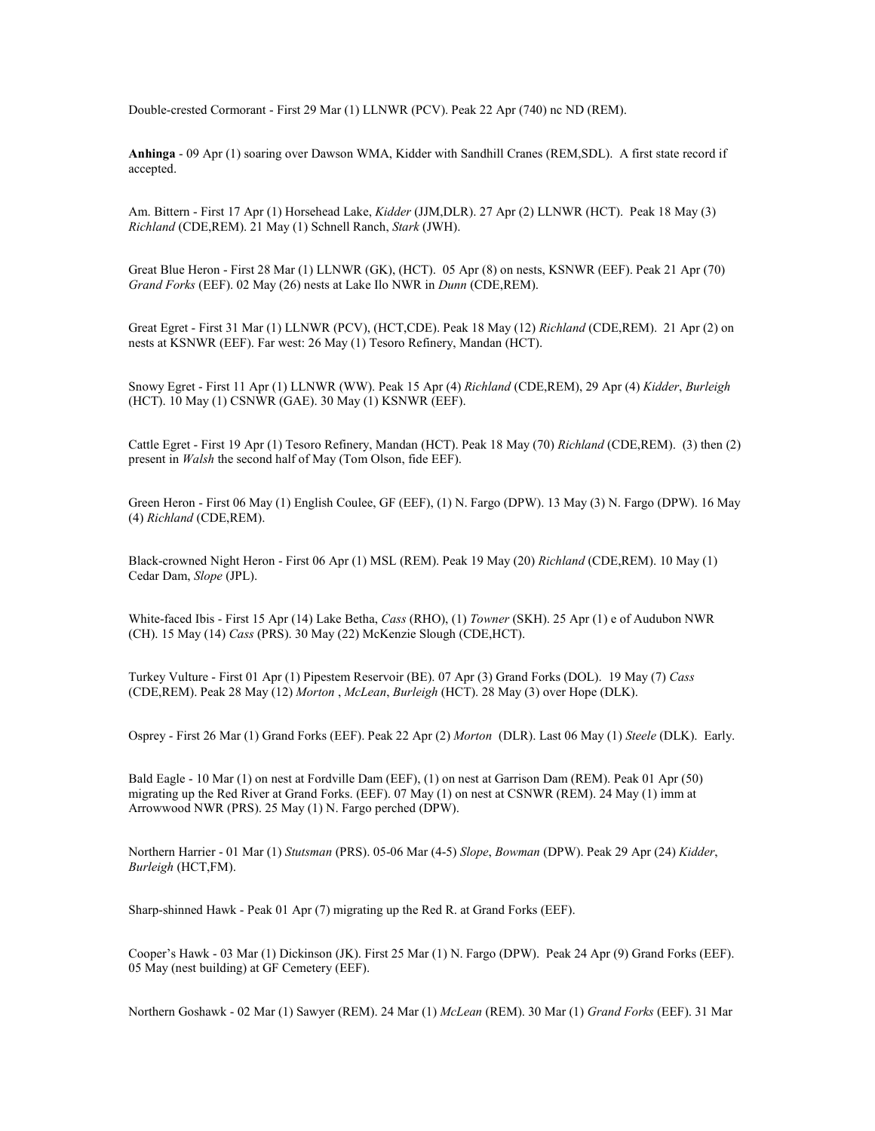Double-crested Cormorant - First 29 Mar (1) LLNWR (PCV). Peak 22 Apr (740) nc ND (REM).

Anhinga - 09 Apr (1) soaring over Dawson WMA, Kidder with Sandhill Cranes (REM,SDL). A first state record if accepted.

Am. Bittern - First 17 Apr (1) Horsehead Lake, Kidder (JJM,DLR). 27 Apr (2) LLNWR (HCT). Peak 18 May (3) Richland (CDE,REM). 21 May (1) Schnell Ranch, Stark (JWH).

Great Blue Heron - First 28 Mar (1) LLNWR (GK), (HCT). 05 Apr (8) on nests, KSNWR (EEF). Peak 21 Apr (70) Grand Forks (EEF). 02 May (26) nests at Lake Ilo NWR in Dunn (CDE,REM).

Great Egret - First 31 Mar (1) LLNWR (PCV), (HCT,CDE). Peak 18 May (12) Richland (CDE,REM). 21 Apr (2) on nests at KSNWR (EEF). Far west: 26 May (1) Tesoro Refinery, Mandan (HCT).

Snowy Egret - First 11 Apr (1) LLNWR (WW). Peak 15 Apr (4) Richland (CDE,REM), 29 Apr (4) Kidder, Burleigh (HCT). 10 May (1) CSNWR (GAE). 30 May (1) KSNWR (EEF).

Cattle Egret - First 19 Apr (1) Tesoro Refinery, Mandan (HCT). Peak 18 May (70) Richland (CDE,REM). (3) then (2) present in *Walsh* the second half of May (Tom Olson, fide EEF).

Green Heron - First 06 May (1) English Coulee, GF (EEF), (1) N. Fargo (DPW). 13 May (3) N. Fargo (DPW). 16 May (4) Richland (CDE,REM).

Black-crowned Night Heron - First 06 Apr (1) MSL (REM). Peak 19 May (20) Richland (CDE,REM). 10 May (1) Cedar Dam, Slope (JPL).

White-faced Ibis - First 15 Apr (14) Lake Betha, Cass (RHO), (1) Towner (SKH). 25 Apr (1) e of Audubon NWR (CH). 15 May (14) Cass (PRS). 30 May (22) McKenzie Slough (CDE,HCT).

Turkey Vulture - First 01 Apr (1) Pipestem Reservoir (BE). 07 Apr (3) Grand Forks (DOL). 19 May (7) Cass (CDE,REM). Peak 28 May (12) Morton , McLean, Burleigh (HCT). 28 May (3) over Hope (DLK).

Osprey - First 26 Mar (1) Grand Forks (EEF). Peak 22 Apr (2) Morton (DLR). Last 06 May (1) Steele (DLK). Early.

Bald Eagle - 10 Mar (1) on nest at Fordville Dam (EEF), (1) on nest at Garrison Dam (REM). Peak 01 Apr (50) migrating up the Red River at Grand Forks. (EEF). 07 May (1) on nest at CSNWR (REM). 24 May (1) imm at Arrowwood NWR (PRS). 25 May (1) N. Fargo perched (DPW).

Northern Harrier - 01 Mar (1) Stutsman (PRS). 05-06 Mar (4-5) Slope, Bowman (DPW). Peak 29 Apr (24) Kidder, Burleigh (HCT,FM).

Sharp-shinned Hawk - Peak 01 Apr (7) migrating up the Red R. at Grand Forks (EEF).

Cooper's Hawk - 03 Mar (1) Dickinson (JK). First 25 Mar (1) N. Fargo (DPW). Peak 24 Apr (9) Grand Forks (EEF). 05 May (nest building) at GF Cemetery (EEF).

Northern Goshawk - 02 Mar (1) Sawyer (REM). 24 Mar (1) McLean (REM). 30 Mar (1) Grand Forks (EEF). 31 Mar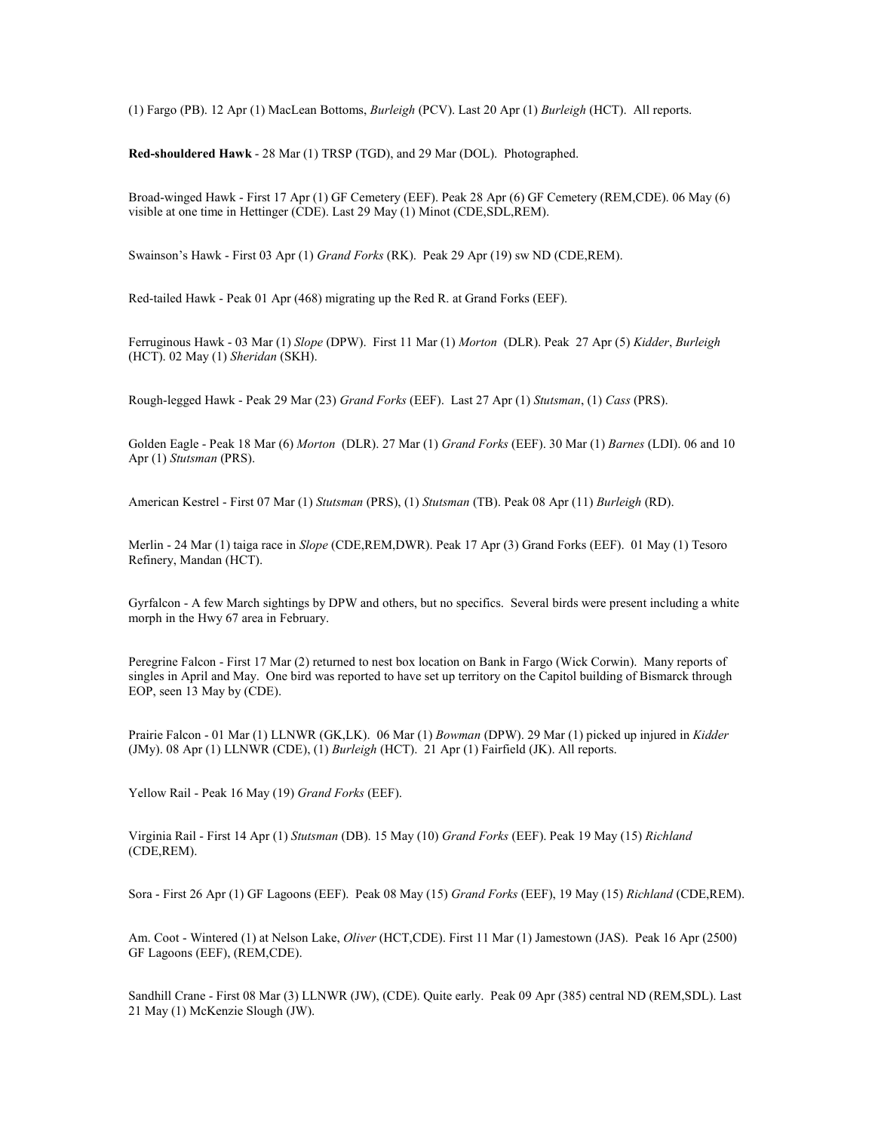(1) Fargo (PB). 12 Apr (1) MacLean Bottoms, Burleigh (PCV). Last 20 Apr (1) Burleigh (HCT). All reports.

Red-shouldered Hawk - 28 Mar (1) TRSP (TGD), and 29 Mar (DOL). Photographed.

Broad-winged Hawk - First 17 Apr (1) GF Cemetery (EEF). Peak 28 Apr (6) GF Cemetery (REM,CDE). 06 May (6) visible at one time in Hettinger (CDE). Last 29 May (1) Minot (CDE,SDL,REM).

Swainson's Hawk - First 03 Apr (1) Grand Forks (RK). Peak 29 Apr (19) sw ND (CDE,REM).

Red-tailed Hawk - Peak 01 Apr (468) migrating up the Red R. at Grand Forks (EEF).

Ferruginous Hawk - 03 Mar (1) Slope (DPW). First 11 Mar (1) Morton (DLR). Peak 27 Apr (5) Kidder, Burleigh (HCT). 02 May (1) Sheridan (SKH).

Rough-legged Hawk - Peak 29 Mar (23) Grand Forks (EEF). Last 27 Apr (1) Stutsman, (1) Cass (PRS).

Golden Eagle - Peak 18 Mar (6) Morton (DLR). 27 Mar (1) Grand Forks (EEF). 30 Mar (1) Barnes (LDI). 06 and 10 Apr (1) Stutsman (PRS).

American Kestrel - First 07 Mar (1) Stutsman (PRS), (1) Stutsman (TB). Peak 08 Apr (11) Burleigh (RD).

Merlin - 24 Mar (1) taiga race in *Slope* (CDE,REM,DWR). Peak 17 Apr (3) Grand Forks (EEF). 01 May (1) Tesoro Refinery, Mandan (HCT).

Gyrfalcon - A few March sightings by DPW and others, but no specifics. Several birds were present including a white morph in the Hwy 67 area in February.

Peregrine Falcon - First 17 Mar (2) returned to nest box location on Bank in Fargo (Wick Corwin). Many reports of singles in April and May. One bird was reported to have set up territory on the Capitol building of Bismarck through EOP, seen 13 May by (CDE).

Prairie Falcon - 01 Mar (1) LLNWR (GK,LK). 06 Mar (1) Bowman (DPW). 29 Mar (1) picked up injured in Kidder (JMy). 08 Apr (1) LLNWR (CDE), (1) Burleigh (HCT). 21 Apr (1) Fairfield (JK). All reports.

Yellow Rail - Peak 16 May (19) Grand Forks (EEF).

Virginia Rail - First 14 Apr (1) Stutsman (DB). 15 May (10) Grand Forks (EEF). Peak 19 May (15) Richland (CDE,REM).

Sora - First 26 Apr (1) GF Lagoons (EEF). Peak 08 May (15) Grand Forks (EEF), 19 May (15) Richland (CDE,REM).

Am. Coot - Wintered (1) at Nelson Lake, Oliver (HCT,CDE). First 11 Mar (1) Jamestown (JAS). Peak 16 Apr (2500) GF Lagoons (EEF), (REM,CDE).

Sandhill Crane - First 08 Mar (3) LLNWR (JW), (CDE). Quite early. Peak 09 Apr (385) central ND (REM,SDL). Last 21 May (1) McKenzie Slough (JW).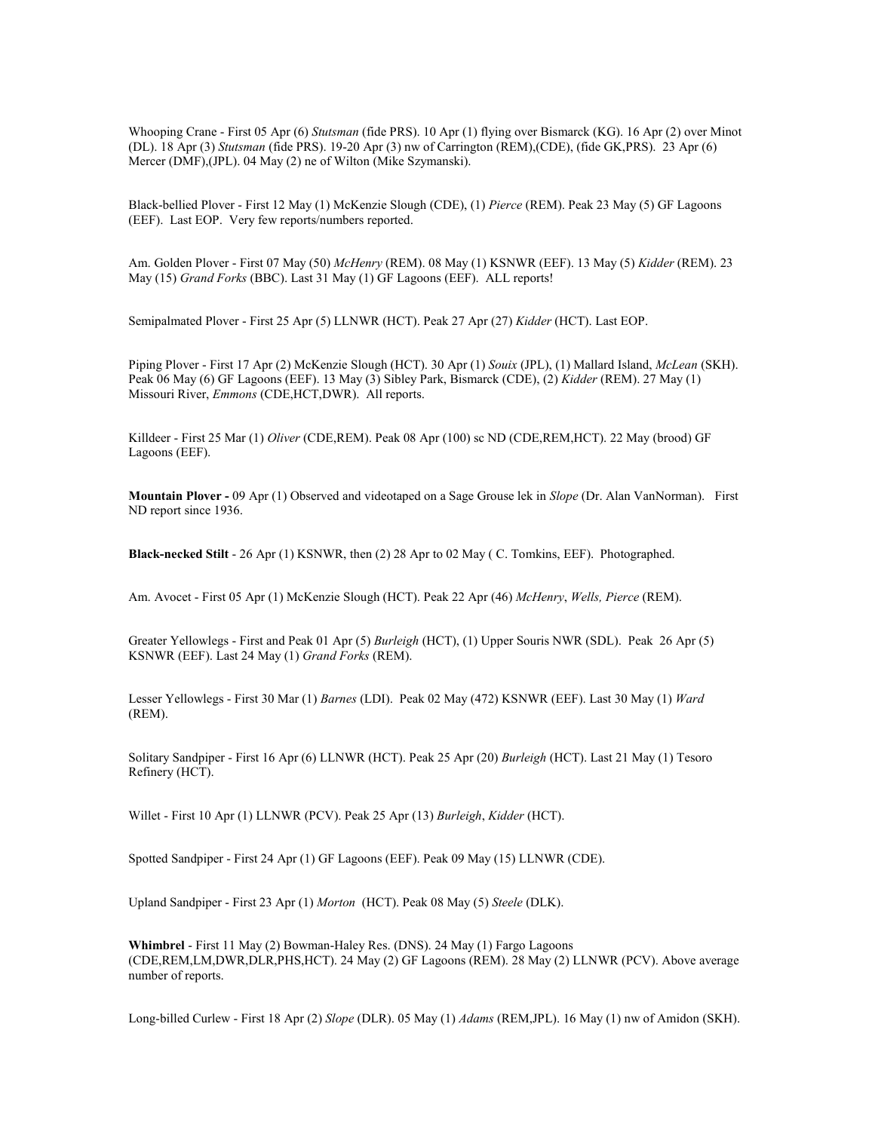Whooping Crane - First 05 Apr (6) Stutsman (fide PRS). 10 Apr (1) flying over Bismarck (KG). 16 Apr (2) over Minot (DL). 18 Apr (3) Stutsman (fide PRS). 19-20 Apr (3) nw of Carrington (REM),(CDE), (fide GK,PRS). 23 Apr (6) Mercer (DMF),(JPL). 04 May (2) ne of Wilton (Mike Szymanski).

Black-bellied Plover - First 12 May (1) McKenzie Slough (CDE), (1) Pierce (REM). Peak 23 May (5) GF Lagoons (EEF). Last EOP. Very few reports/numbers reported.

Am. Golden Plover - First 07 May (50) McHenry (REM). 08 May (1) KSNWR (EEF). 13 May (5) Kidder (REM). 23 May (15) Grand Forks (BBC). Last 31 May (1) GF Lagoons (EEF). ALL reports!

Semipalmated Plover - First 25 Apr (5) LLNWR (HCT). Peak 27 Apr (27) Kidder (HCT). Last EOP.

Piping Plover - First 17 Apr (2) McKenzie Slough (HCT), 30 Apr (1) Souix (JPL), (1) Mallard Island, McLean (SKH). Peak 06 May (6) GF Lagoons (EEF). 13 May (3) Sibley Park, Bismarck (CDE), (2) Kidder (REM). 27 May (1) Missouri River, Emmons (CDE,HCT,DWR). All reports.

Killdeer - First 25 Mar (1) Oliver (CDE,REM). Peak 08 Apr (100) sc ND (CDE,REM,HCT). 22 May (brood) GF Lagoons (EEF).

Mountain Plover - 09 Apr (1) Observed and videotaped on a Sage Grouse lek in Slope (Dr. Alan VanNorman). First ND report since 1936.

Black-necked Stilt - 26 Apr (1) KSNWR, then (2) 28 Apr to 02 May ( C. Tomkins, EEF). Photographed.

Am. Avocet - First 05 Apr (1) McKenzie Slough (HCT). Peak 22 Apr (46) McHenry, Wells, Pierce (REM).

Greater Yellowlegs - First and Peak 01 Apr (5) *Burleigh* (HCT), (1) Upper Souris NWR (SDL). Peak 26 Apr (5) KSNWR (EEF). Last 24 May (1) Grand Forks (REM).

Lesser Yellowlegs - First 30 Mar (1) Barnes (LDI). Peak 02 May (472) KSNWR (EEF). Last 30 May (1) Ward (REM).

Solitary Sandpiper - First 16 Apr (6) LLNWR (HCT). Peak 25 Apr (20) Burleigh (HCT). Last 21 May (1) Tesoro Refinery (HCT).

Willet - First 10 Apr (1) LLNWR (PCV). Peak 25 Apr (13) Burleigh, Kidder (HCT).

Spotted Sandpiper - First 24 Apr (1) GF Lagoons (EEF). Peak 09 May (15) LLNWR (CDE).

Upland Sandpiper - First 23 Apr (1) Morton (HCT). Peak 08 May (5) Steele (DLK).

Whimbrel - First 11 May (2) Bowman-Haley Res. (DNS). 24 May (1) Fargo Lagoons (CDE,REM,LM,DWR,DLR,PHS,HCT). 24 May (2) GF Lagoons (REM). 28 May (2) LLNWR (PCV). Above average number of reports.

Long-billed Curlew - First 18 Apr (2) Slope (DLR). 05 May (1) Adams (REM,JPL). 16 May (1) nw of Amidon (SKH).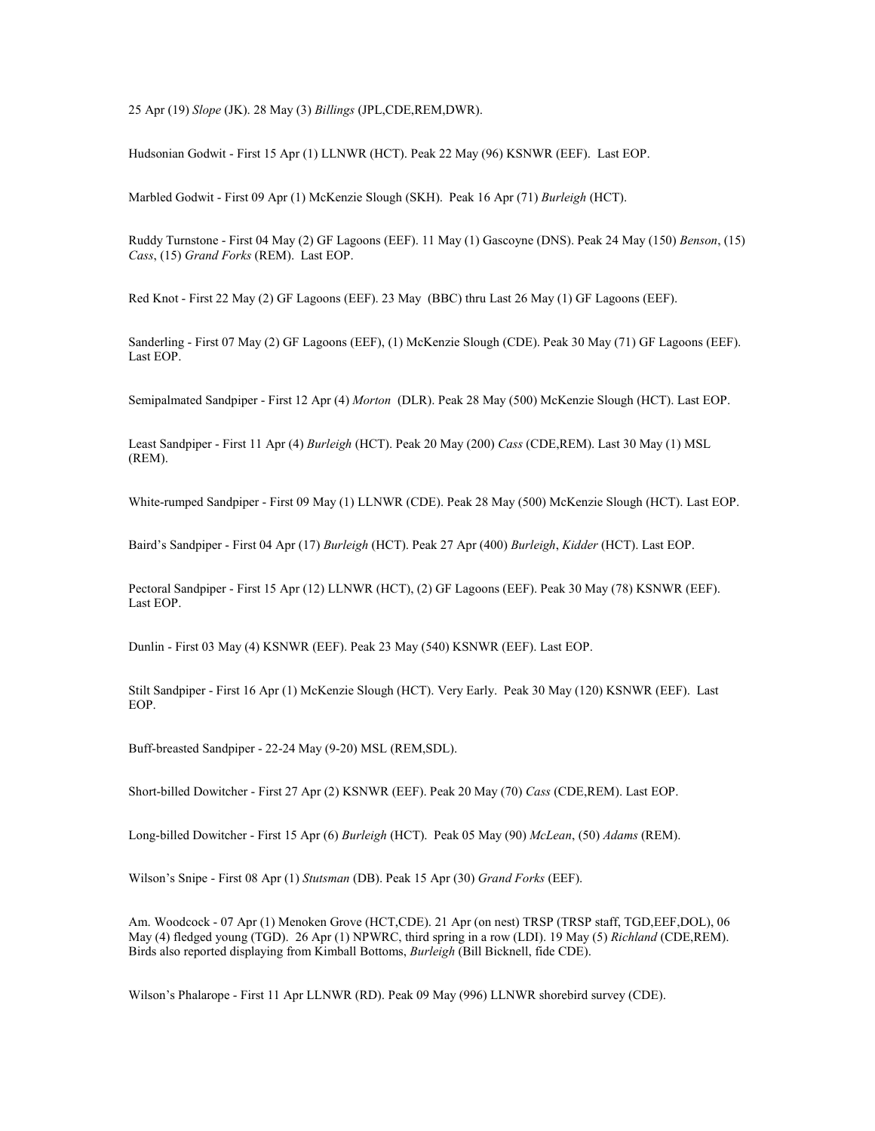25 Apr (19) Slope (JK). 28 May (3) Billings (JPL,CDE,REM,DWR).

Hudsonian Godwit - First 15 Apr (1) LLNWR (HCT). Peak 22 May (96) KSNWR (EEF). Last EOP.

Marbled Godwit - First 09 Apr (1) McKenzie Slough (SKH). Peak 16 Apr (71) Burleigh (HCT).

Ruddy Turnstone - First 04 May (2) GF Lagoons (EEF). 11 May (1) Gascoyne (DNS). Peak 24 May (150) Benson, (15) Cass, (15) Grand Forks (REM). Last EOP.

Red Knot - First 22 May (2) GF Lagoons (EEF). 23 May (BBC) thru Last 26 May (1) GF Lagoons (EEF).

Sanderling - First 07 May (2) GF Lagoons (EEF), (1) McKenzie Slough (CDE). Peak 30 May (71) GF Lagoons (EEF). Last EOP.

Semipalmated Sandpiper - First 12 Apr (4) Morton (DLR). Peak 28 May (500) McKenzie Slough (HCT). Last EOP.

Least Sandpiper - First 11 Apr (4) Burleigh (HCT). Peak 20 May (200) Cass (CDE,REM). Last 30 May (1) MSL (REM).

White-rumped Sandpiper - First 09 May (1) LLNWR (CDE). Peak 28 May (500) McKenzie Slough (HCT). Last EOP.

Baird's Sandpiper - First 04 Apr (17) Burleigh (HCT). Peak 27 Apr (400) Burleigh, Kidder (HCT). Last EOP.

Pectoral Sandpiper - First 15 Apr (12) LLNWR (HCT), (2) GF Lagoons (EEF). Peak 30 May (78) KSNWR (EEF). Last EOP.

Dunlin - First 03 May (4) KSNWR (EEF). Peak 23 May (540) KSNWR (EEF). Last EOP.

Stilt Sandpiper - First 16 Apr (1) McKenzie Slough (HCT). Very Early. Peak 30 May (120) KSNWR (EEF). Last EOP.

Buff-breasted Sandpiper - 22-24 May (9-20) MSL (REM,SDL).

Short-billed Dowitcher - First 27 Apr (2) KSNWR (EEF). Peak 20 May (70) Cass (CDE,REM). Last EOP.

Long-billed Dowitcher - First 15 Apr (6) Burleigh (HCT). Peak 05 May (90) McLean, (50) Adams (REM).

Wilson's Snipe - First 08 Apr (1) Stutsman (DB). Peak 15 Apr (30) Grand Forks (EEF).

Am. Woodcock - 07 Apr (1) Menoken Grove (HCT,CDE). 21 Apr (on nest) TRSP (TRSP staff, TGD,EEF,DOL), 06 May (4) fledged young (TGD). 26 Apr (1) NPWRC, third spring in a row (LDI). 19 May (5) Richland (CDE,REM). Birds also reported displaying from Kimball Bottoms, Burleigh (Bill Bicknell, fide CDE).

Wilson's Phalarope - First 11 Apr LLNWR (RD). Peak 09 May (996) LLNWR shorebird survey (CDE).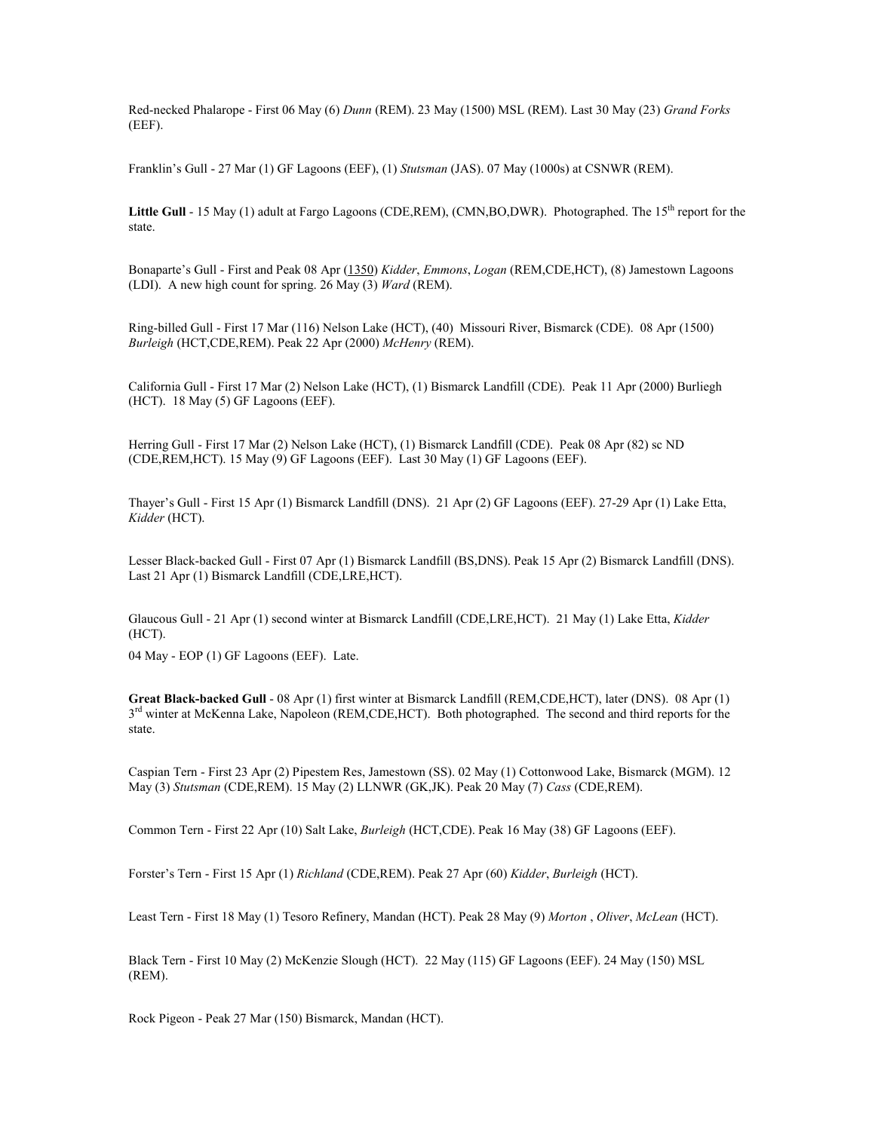Red-necked Phalarope - First 06 May (6) Dunn (REM). 23 May (1500) MSL (REM). Last 30 May (23) Grand Forks (EEF).

Franklin's Gull - 27 Mar (1) GF Lagoons (EEF), (1) Stutsman (JAS). 07 May (1000s) at CSNWR (REM).

Little Gull - 15 May (1) adult at Fargo Lagoons (CDE, REM), (CMN, BO, DWR). Photographed. The  $15<sup>th</sup>$  report for the state.

Bonaparte's Gull - First and Peak 08 Apr (1350) Kidder, Emmons, Logan (REM,CDE,HCT), (8) Jamestown Lagoons (LDI). A new high count for spring. 26 May (3) Ward (REM).

Ring-billed Gull - First 17 Mar (116) Nelson Lake (HCT), (40) Missouri River, Bismarck (CDE). 08 Apr (1500) Burleigh (HCT,CDE,REM). Peak 22 Apr (2000) McHenry (REM).

California Gull - First 17 Mar (2) Nelson Lake (HCT), (1) Bismarck Landfill (CDE). Peak 11 Apr (2000) Burliegh (HCT). 18 May (5) GF Lagoons (EEF).

Herring Gull - First 17 Mar (2) Nelson Lake (HCT), (1) Bismarck Landfill (CDE). Peak 08 Apr (82) sc ND (CDE,REM,HCT). 15 May (9) GF Lagoons (EEF). Last 30 May (1) GF Lagoons (EEF).

Thayer's Gull - First 15 Apr (1) Bismarck Landfill (DNS). 21 Apr (2) GF Lagoons (EEF). 27-29 Apr (1) Lake Etta, Kidder (HCT).

Lesser Black-backed Gull - First 07 Apr (1) Bismarck Landfill (BS,DNS). Peak 15 Apr (2) Bismarck Landfill (DNS). Last 21 Apr (1) Bismarck Landfill (CDE,LRE,HCT).

Glaucous Gull - 21 Apr (1) second winter at Bismarck Landfill (CDE,LRE,HCT). 21 May (1) Lake Etta, Kidder (HCT).

04 May - EOP (1) GF Lagoons (EEF). Late.

Great Black-backed Gull - 08 Apr (1) first winter at Bismarck Landfill (REM,CDE,HCT), later (DNS). 08 Apr (1) 3<sup>rd</sup> winter at McKenna Lake, Napoleon (REM,CDE,HCT). Both photographed. The second and third reports for the state.

Caspian Tern - First 23 Apr (2) Pipestem Res, Jamestown (SS). 02 May (1) Cottonwood Lake, Bismarck (MGM). 12 May (3) Stutsman (CDE,REM). 15 May (2) LLNWR (GK,JK). Peak 20 May (7) Cass (CDE,REM).

Common Tern - First 22 Apr (10) Salt Lake, Burleigh (HCT,CDE). Peak 16 May (38) GF Lagoons (EEF).

Forster's Tern - First 15 Apr (1) Richland (CDE,REM). Peak 27 Apr (60) Kidder, Burleigh (HCT).

Least Tern - First 18 May (1) Tesoro Refinery, Mandan (HCT). Peak 28 May (9) Morton, Oliver, McLean (HCT).

Black Tern - First 10 May (2) McKenzie Slough (HCT). 22 May (115) GF Lagoons (EEF). 24 May (150) MSL (REM).

Rock Pigeon - Peak 27 Mar (150) Bismarck, Mandan (HCT).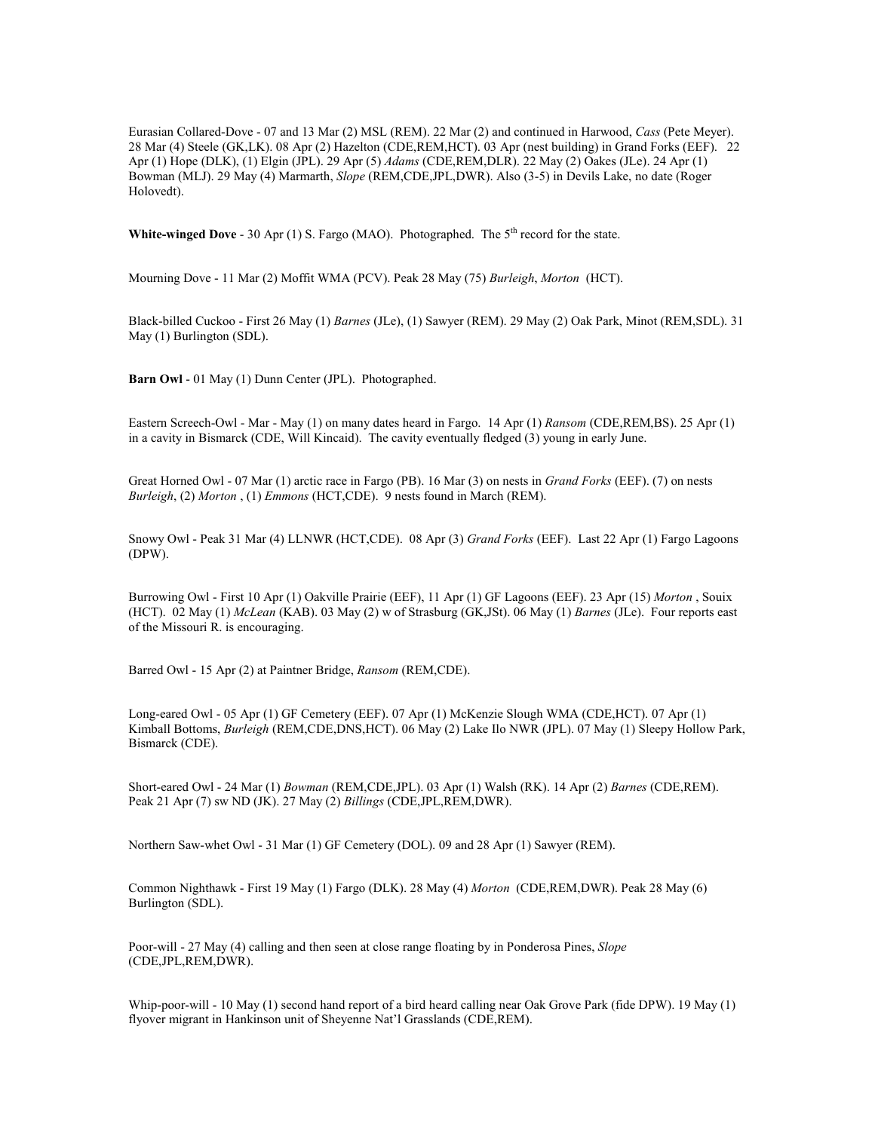Eurasian Collared-Dove - 07 and 13 Mar (2) MSL (REM). 22 Mar (2) and continued in Harwood, Cass (Pete Meyer). 28 Mar (4) Steele (GK,LK). 08 Apr (2) Hazelton (CDE,REM,HCT). 03 Apr (nest building) in Grand Forks (EEF). 22 Apr (1) Hope (DLK), (1) Elgin (JPL). 29 Apr (5) Adams (CDE,REM,DLR). 22 May (2) Oakes (JLe). 24 Apr (1) Bowman (MLJ). 29 May (4) Marmarth, Slope (REM,CDE,JPL,DWR). Also (3-5) in Devils Lake, no date (Roger Holovedt).

White-winged Dove - 30 Apr (1) S. Fargo (MAO). Photographed. The  $5<sup>th</sup>$  record for the state.

Mourning Dove - 11 Mar (2) Moffit WMA (PCV). Peak 28 May (75) Burleigh, Morton (HCT).

Black-billed Cuckoo - First 26 May (1) Barnes (JLe), (1) Sawyer (REM). 29 May (2) Oak Park, Minot (REM,SDL). 31 May (1) Burlington (SDL).

Barn Owl - 01 May (1) Dunn Center (JPL). Photographed.

Eastern Screech-Owl - Mar - May (1) on many dates heard in Fargo. 14 Apr (1) Ransom (CDE,REM,BS). 25 Apr (1) in a cavity in Bismarck (CDE, Will Kincaid). The cavity eventually fledged (3) young in early June.

Great Horned Owl - 07 Mar (1) arctic race in Fargo (PB). 16 Mar (3) on nests in *Grand Forks* (EEF). (7) on nests Burleigh, (2) Morton , (1) Emmons (HCT,CDE). 9 nests found in March (REM).

Snowy Owl - Peak 31 Mar (4) LLNWR (HCT,CDE). 08 Apr (3) Grand Forks (EEF). Last 22 Apr (1) Fargo Lagoons (DPW).

Burrowing Owl - First 10 Apr (1) Oakville Prairie (EEF), 11 Apr (1) GF Lagoons (EEF). 23 Apr (15) Morton , Souix (HCT). 02 May (1) McLean (KAB). 03 May (2) w of Strasburg (GK,JSt). 06 May (1) Barnes (JLe). Four reports east of the Missouri R. is encouraging.

Barred Owl - 15 Apr (2) at Paintner Bridge, Ransom (REM,CDE).

Long-eared Owl - 05 Apr (1) GF Cemetery (EEF). 07 Apr (1) McKenzie Slough WMA (CDE,HCT). 07 Apr (1) Kimball Bottoms, Burleigh (REM,CDE,DNS,HCT). 06 May (2) Lake Ilo NWR (JPL). 07 May (1) Sleepy Hollow Park, Bismarck (CDE).

Short-eared Owl - 24 Mar (1) Bowman (REM,CDE,JPL). 03 Apr (1) Walsh (RK). 14 Apr (2) Barnes (CDE,REM). Peak 21 Apr (7) sw ND (JK). 27 May (2) Billings (CDE,JPL,REM,DWR).

Northern Saw-whet Owl - 31 Mar (1) GF Cemetery (DOL). 09 and 28 Apr (1) Sawyer (REM).

Common Nighthawk - First 19 May (1) Fargo (DLK). 28 May (4) Morton (CDE,REM,DWR). Peak 28 May (6) Burlington (SDL).

Poor-will - 27 May (4) calling and then seen at close range floating by in Ponderosa Pines, Slope (CDE,JPL,REM,DWR).

Whip-poor-will - 10 May (1) second hand report of a bird heard calling near Oak Grove Park (fide DPW). 19 May (1) flyover migrant in Hankinson unit of Sheyenne Nat'l Grasslands (CDE,REM).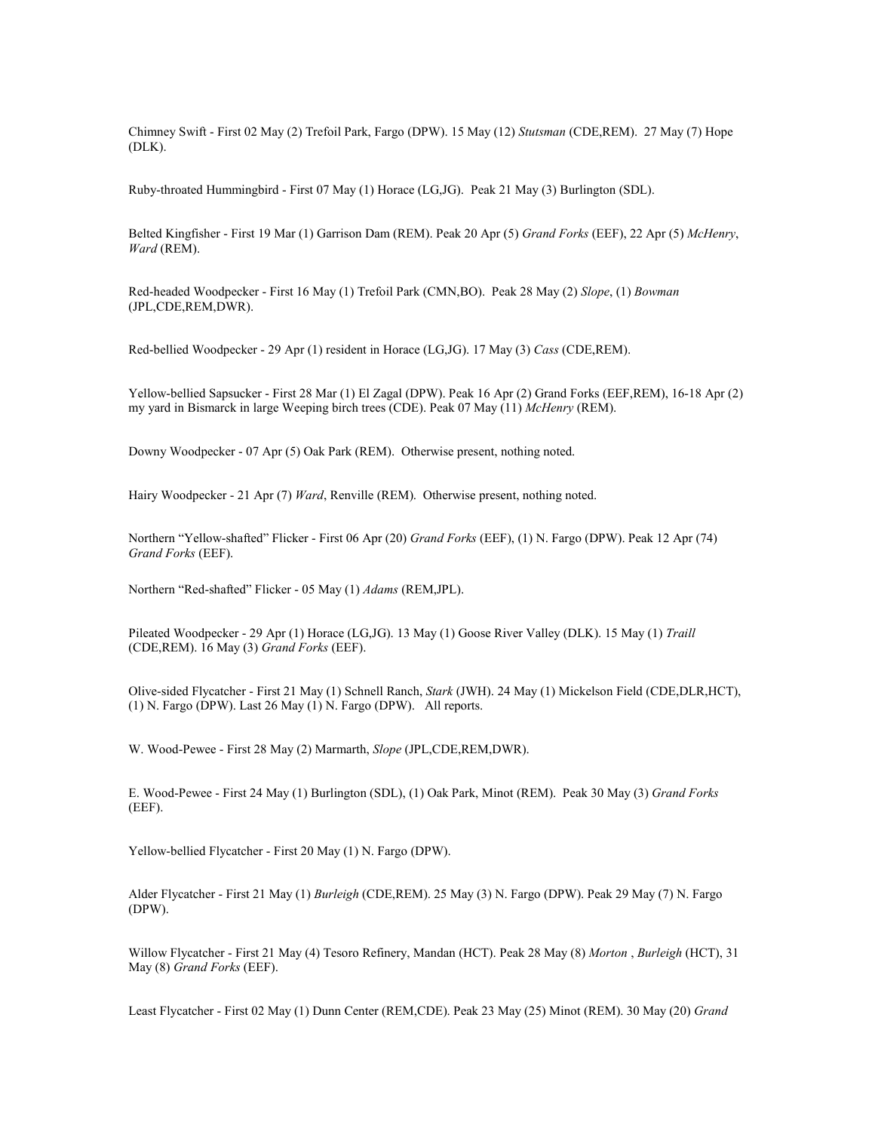Chimney Swift - First 02 May (2) Trefoil Park, Fargo (DPW). 15 May (12) Stutsman (CDE,REM). 27 May (7) Hope (DLK).

Ruby-throated Hummingbird - First 07 May (1) Horace (LG,JG). Peak 21 May (3) Burlington (SDL).

Belted Kingfisher - First 19 Mar (1) Garrison Dam (REM). Peak 20 Apr (5) Grand Forks (EEF), 22 Apr (5) McHenry, Ward (REM).

Red-headed Woodpecker - First 16 May (1) Trefoil Park (CMN, BO). Peak 28 May (2) Slope, (1) Bowman (JPL,CDE,REM,DWR).

Red-bellied Woodpecker - 29 Apr (1) resident in Horace (LG,JG). 17 May (3) Cass (CDE,REM).

Yellow-bellied Sapsucker - First 28 Mar (1) El Zagal (DPW). Peak 16 Apr (2) Grand Forks (EEF,REM), 16-18 Apr (2) my yard in Bismarck in large Weeping birch trees (CDE). Peak 07 May (11) McHenry (REM).

Downy Woodpecker - 07 Apr (5) Oak Park (REM). Otherwise present, nothing noted.

Hairy Woodpecker - 21 Apr (7) Ward, Renville (REM). Otherwise present, nothing noted.

Northern "Yellow-shafted" Flicker - First 06 Apr (20) Grand Forks (EEF), (1) N. Fargo (DPW). Peak 12 Apr (74) Grand Forks (EEF).

Northern "Red-shafted" Flicker - 05 May (1) Adams (REM,JPL).

Pileated Woodpecker - 29 Apr (1) Horace (LG,JG). 13 May (1) Goose River Valley (DLK). 15 May (1) Traill (CDE,REM). 16 May (3) Grand Forks (EEF).

Olive-sided Flycatcher - First 21 May (1) Schnell Ranch, Stark (JWH). 24 May (1) Mickelson Field (CDE,DLR,HCT), (1) N. Fargo (DPW). Last 26 May (1) N. Fargo (DPW). All reports.

W. Wood-Pewee - First 28 May (2) Marmarth, Slope (JPL,CDE,REM,DWR).

E. Wood-Pewee - First 24 May (1) Burlington (SDL), (1) Oak Park, Minot (REM). Peak 30 May (3) Grand Forks (EEF).

Yellow-bellied Flycatcher - First 20 May (1) N. Fargo (DPW).

Alder Flycatcher - First 21 May (1) Burleigh (CDE,REM). 25 May (3) N. Fargo (DPW). Peak 29 May (7) N. Fargo (DPW).

Willow Flycatcher - First 21 May (4) Tesoro Refinery, Mandan (HCT). Peak 28 May (8) Morton, Burleigh (HCT), 31 May (8) Grand Forks (EEF).

Least Flycatcher - First 02 May (1) Dunn Center (REM,CDE). Peak 23 May (25) Minot (REM). 30 May (20) Grand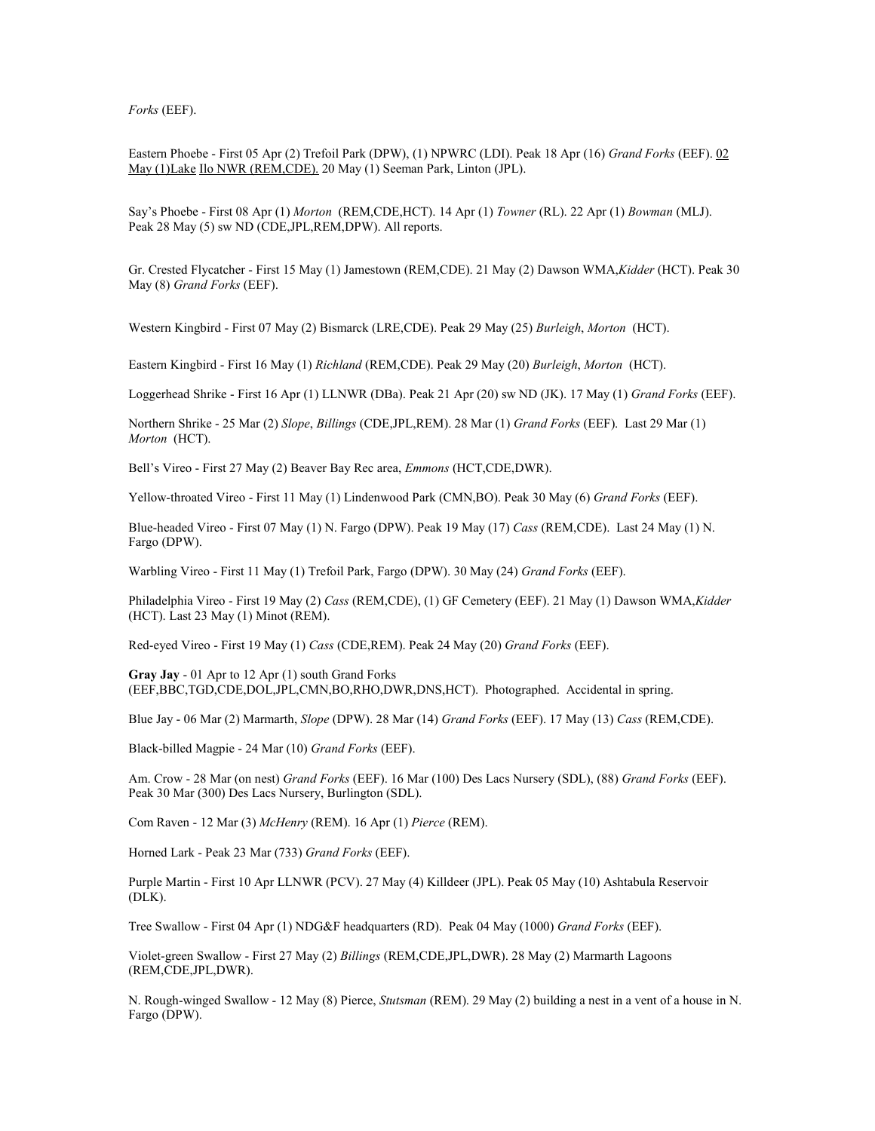Forks (EEF).

Eastern Phoebe - First 05 Apr (2) Trefoil Park (DPW), (1) NPWRC (LDI). Peak 18 Apr (16) Grand Forks (EEF). 02 May (1)Lake Ilo NWR (REM,CDE). 20 May (1) Seeman Park, Linton (JPL).

Say's Phoebe - First 08 Apr (1) Morton (REM,CDE,HCT). 14 Apr (1) Towner (RL). 22 Apr (1) Bowman (MLJ). Peak 28 May (5) sw ND (CDE,JPL,REM,DPW). All reports.

Gr. Crested Flycatcher - First 15 May (1) Jamestown (REM, CDE). 21 May (2) Dawson WMA, Kidder (HCT). Peak 30 May (8) Grand Forks (EEF).

Western Kingbird - First 07 May (2) Bismarck (LRE,CDE). Peak 29 May (25) Burleigh, Morton (HCT).

Eastern Kingbird - First 16 May (1) Richland (REM,CDE). Peak 29 May (20) Burleigh, Morton (HCT).

Loggerhead Shrike - First 16 Apr (1) LLNWR (DBa). Peak 21 Apr (20) sw ND (JK). 17 May (1) Grand Forks (EEF).

Northern Shrike - 25 Mar (2) Slope, Billings (CDE,JPL,REM). 28 Mar (1) Grand Forks (EEF). Last 29 Mar (1) Morton (HCT).

Bell's Vireo - First 27 May (2) Beaver Bay Rec area, Emmons (HCT,CDE,DWR).

Yellow-throated Vireo - First 11 May (1) Lindenwood Park (CMN,BO). Peak 30 May (6) Grand Forks (EEF).

Blue-headed Vireo - First 07 May (1) N. Fargo (DPW). Peak 19 May (17) Cass (REM,CDE). Last 24 May (1) N. Fargo (DPW).

Warbling Vireo - First 11 May (1) Trefoil Park, Fargo (DPW). 30 May (24) Grand Forks (EEF).

Philadelphia Vireo - First 19 May (2) Cass (REM,CDE), (1) GF Cemetery (EEF). 21 May (1) Dawson WMA, Kidder (HCT). Last 23 May (1) Minot (REM).

Red-eyed Vireo - First 19 May (1) Cass (CDE,REM). Peak 24 May (20) Grand Forks (EEF).

Gray Jay - 01 Apr to 12 Apr (1) south Grand Forks (EEF,BBC,TGD,CDE,DOL,JPL,CMN,BO,RHO,DWR,DNS,HCT). Photographed. Accidental in spring.

Blue Jay - 06 Mar (2) Marmarth, Slope (DPW). 28 Mar (14) Grand Forks (EEF). 17 May (13) Cass (REM,CDE).

Black-billed Magpie - 24 Mar (10) Grand Forks (EEF).

Am. Crow - 28 Mar (on nest) Grand Forks (EEF). 16 Mar (100) Des Lacs Nursery (SDL), (88) Grand Forks (EEF). Peak 30 Mar (300) Des Lacs Nursery, Burlington (SDL).

Com Raven - 12 Mar (3) McHenry (REM). 16 Apr (1) Pierce (REM).

Horned Lark - Peak 23 Mar (733) Grand Forks (EEF).

Purple Martin - First 10 Apr LLNWR (PCV). 27 May (4) Killdeer (JPL). Peak 05 May (10) Ashtabula Reservoir (DLK).

Tree Swallow - First 04 Apr (1) NDG&F headquarters (RD). Peak 04 May (1000) Grand Forks (EEF).

Violet-green Swallow - First 27 May (2) Billings (REM,CDE,JPL,DWR). 28 May (2) Marmarth Lagoons (REM,CDE,JPL,DWR).

N. Rough-winged Swallow - 12 May (8) Pierce, Stutsman (REM). 29 May (2) building a nest in a vent of a house in N. Fargo (DPW).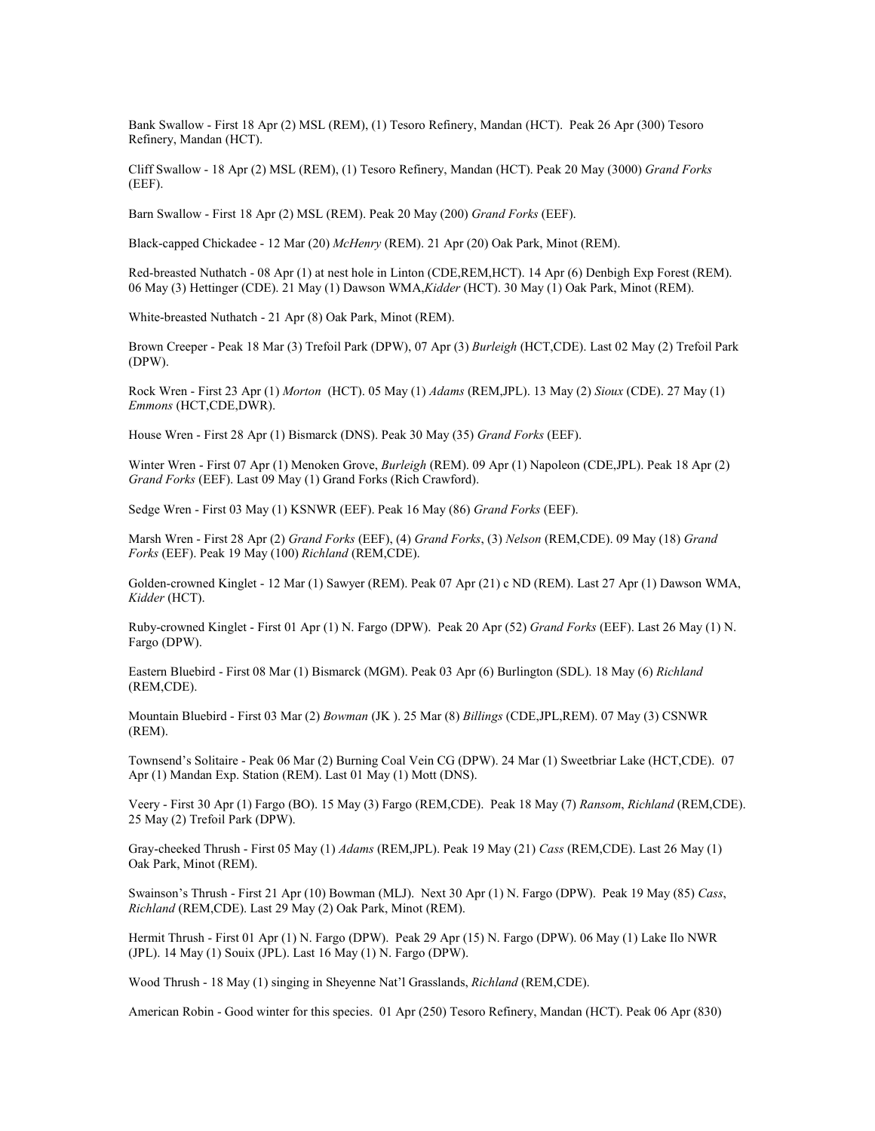Bank Swallow - First 18 Apr (2) MSL (REM), (1) Tesoro Refinery, Mandan (HCT). Peak 26 Apr (300) Tesoro Refinery, Mandan (HCT).

Cliff Swallow - 18 Apr (2) MSL (REM), (1) Tesoro Refinery, Mandan (HCT). Peak 20 May (3000) Grand Forks (EEF).

Barn Swallow - First 18 Apr (2) MSL (REM). Peak 20 May (200) Grand Forks (EEF).

Black-capped Chickadee - 12 Mar (20) McHenry (REM). 21 Apr (20) Oak Park, Minot (REM).

Red-breasted Nuthatch - 08 Apr (1) at nest hole in Linton (CDE,REM,HCT). 14 Apr (6) Denbigh Exp Forest (REM). 06 May (3) Hettinger (CDE). 21 May (1) Dawson WMA,Kidder (HCT). 30 May (1) Oak Park, Minot (REM).

White-breasted Nuthatch - 21 Apr (8) Oak Park, Minot (REM).

Brown Creeper - Peak 18 Mar (3) Trefoil Park (DPW), 07 Apr (3) Burleigh (HCT,CDE). Last 02 May (2) Trefoil Park (DPW).

Rock Wren - First 23 Apr (1) Morton (HCT). 05 May (1) Adams (REM,JPL). 13 May (2) Sioux (CDE). 27 May (1) Emmons (HCT,CDE,DWR).

House Wren - First 28 Apr (1) Bismarck (DNS). Peak 30 May (35) Grand Forks (EEF).

Winter Wren - First 07 Apr (1) Menoken Grove, Burleigh (REM). 09 Apr (1) Napoleon (CDE,JPL). Peak 18 Apr (2) Grand Forks (EEF). Last 09 May (1) Grand Forks (Rich Crawford).

Sedge Wren - First 03 May (1) KSNWR (EEF). Peak 16 May (86) Grand Forks (EEF).

Marsh Wren - First 28 Apr (2) Grand Forks (EEF), (4) Grand Forks, (3) Nelson (REM,CDE). 09 May (18) Grand Forks (EEF). Peak 19 May (100) Richland (REM,CDE).

Golden-crowned Kinglet - 12 Mar (1) Sawyer (REM). Peak 07 Apr (21) c ND (REM). Last 27 Apr (1) Dawson WMA, Kidder (HCT).

Ruby-crowned Kinglet - First 01 Apr (1) N. Fargo (DPW). Peak 20 Apr (52) Grand Forks (EEF). Last 26 May (1) N. Fargo (DPW).

Eastern Bluebird - First 08 Mar (1) Bismarck (MGM). Peak 03 Apr (6) Burlington (SDL). 18 May (6) Richland (REM,CDE).

Mountain Bluebird - First 03 Mar (2) Bowman (JK ). 25 Mar (8) Billings (CDE,JPL,REM). 07 May (3) CSNWR (REM).

Townsend's Solitaire - Peak 06 Mar (2) Burning Coal Vein CG (DPW). 24 Mar (1) Sweetbriar Lake (HCT,CDE). 07 Apr (1) Mandan Exp. Station (REM). Last 01 May (1) Mott (DNS).

Veery - First 30 Apr (1) Fargo (BO). 15 May (3) Fargo (REM,CDE). Peak 18 May (7) Ransom, Richland (REM,CDE). 25 May (2) Trefoil Park (DPW).

Gray-cheeked Thrush - First 05 May (1) Adams (REM,JPL). Peak 19 May (21) Cass (REM,CDE). Last 26 May (1) Oak Park, Minot (REM).

Swainson's Thrush - First 21 Apr (10) Bowman (MLJ). Next 30 Apr (1) N. Fargo (DPW). Peak 19 May (85) Cass, Richland (REM,CDE). Last 29 May (2) Oak Park, Minot (REM).

Hermit Thrush - First 01 Apr (1) N. Fargo (DPW). Peak 29 Apr (15) N. Fargo (DPW). 06 May (1) Lake Ilo NWR (JPL). 14 May (1) Souix (JPL). Last 16 May (1) N. Fargo (DPW).

Wood Thrush - 18 May (1) singing in Sheyenne Nat'l Grasslands, Richland (REM,CDE).

American Robin - Good winter for this species. 01 Apr (250) Tesoro Refinery, Mandan (HCT). Peak 06 Apr (830)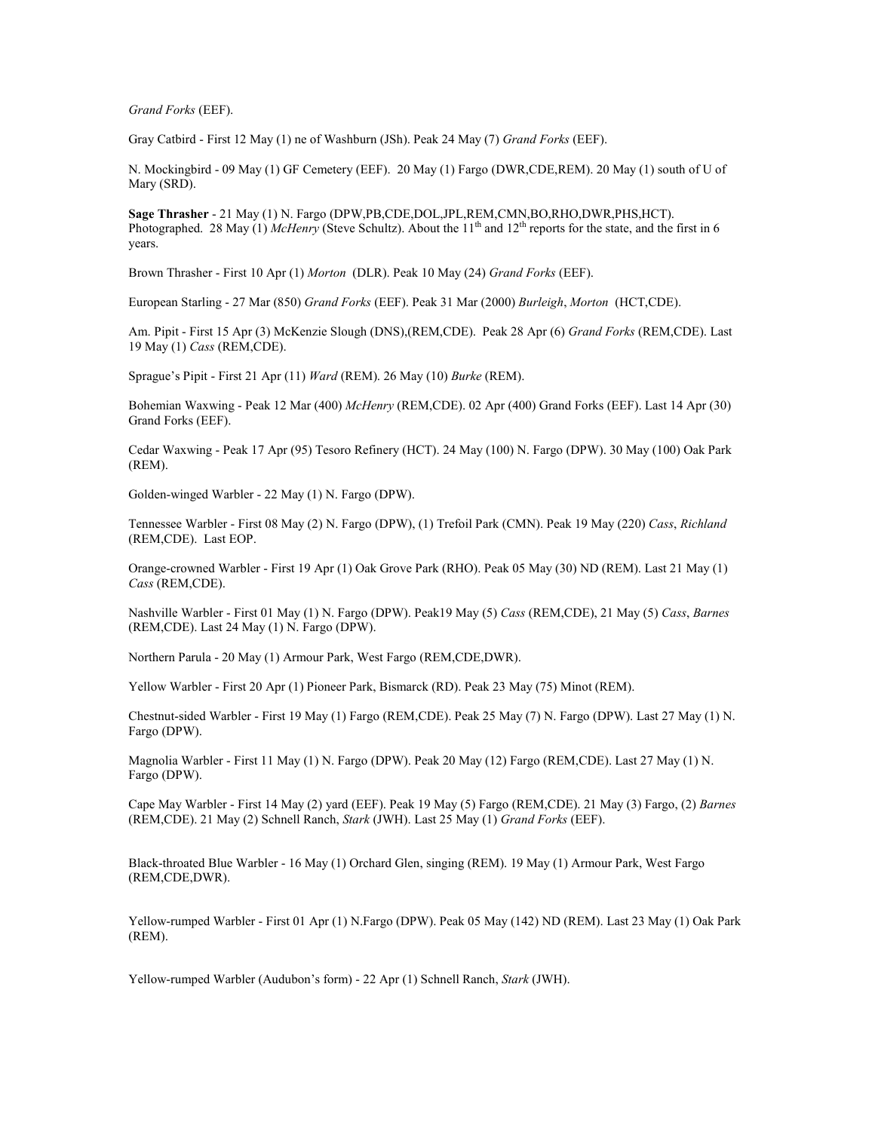Grand Forks (EEF).

Gray Catbird - First 12 May (1) ne of Washburn (JSh). Peak 24 May (7) Grand Forks (EEF).

N. Mockingbird - 09 May (1) GF Cemetery (EEF). 20 May (1) Fargo (DWR,CDE,REM). 20 May (1) south of U of Mary (SRD).

Sage Thrasher - 21 May (1) N. Fargo (DPW,PB,CDE,DOL,JPL,REM,CMN,BO,RHO,DWR,PHS,HCT). Photographed. 28 May (1) McHenry (Steve Schultz). About the 11<sup>th</sup> and 12<sup>th</sup> reports for the state, and the first in 6 years.

Brown Thrasher - First 10 Apr (1) Morton (DLR). Peak 10 May (24) Grand Forks (EEF).

European Starling - 27 Mar (850) Grand Forks (EEF). Peak 31 Mar (2000) Burleigh, Morton (HCT,CDE).

Am. Pipit - First 15 Apr (3) McKenzie Slough (DNS), (REM, CDE). Peak 28 Apr (6) Grand Forks (REM, CDE). Last 19 May (1) Cass (REM,CDE).

Sprague's Pipit - First 21 Apr (11) Ward (REM). 26 May (10) Burke (REM).

Bohemian Waxwing - Peak 12 Mar (400) McHenry (REM,CDE). 02 Apr (400) Grand Forks (EEF). Last 14 Apr (30) Grand Forks (EEF).

Cedar Waxwing - Peak 17 Apr (95) Tesoro Refinery (HCT). 24 May (100) N. Fargo (DPW). 30 May (100) Oak Park (REM).

Golden-winged Warbler - 22 May (1) N. Fargo (DPW).

Tennessee Warbler - First 08 May (2) N. Fargo (DPW), (1) Trefoil Park (CMN). Peak 19 May (220) Cass, Richland (REM,CDE). Last EOP.

Orange-crowned Warbler - First 19 Apr (1) Oak Grove Park (RHO). Peak 05 May (30) ND (REM). Last 21 May (1) Cass (REM,CDE).

Nashville Warbler - First 01 May (1) N. Fargo (DPW). Peak19 May (5) Cass (REM,CDE), 21 May (5) Cass, Barnes (REM,CDE). Last 24 May (1) N. Fargo (DPW).

Northern Parula - 20 May (1) Armour Park, West Fargo (REM,CDE,DWR).

Yellow Warbler - First 20 Apr (1) Pioneer Park, Bismarck (RD). Peak 23 May (75) Minot (REM).

Chestnut-sided Warbler - First 19 May (1) Fargo (REM,CDE). Peak 25 May (7) N. Fargo (DPW). Last 27 May (1) N. Fargo (DPW).

Magnolia Warbler - First 11 May (1) N. Fargo (DPW). Peak 20 May (12) Fargo (REM,CDE). Last 27 May (1) N. Fargo (DPW).

Cape May Warbler - First 14 May (2) yard (EEF). Peak 19 May (5) Fargo (REM,CDE). 21 May (3) Fargo, (2) Barnes (REM,CDE). 21 May (2) Schnell Ranch, Stark (JWH). Last 25 May (1) Grand Forks (EEF).

Black-throated Blue Warbler - 16 May (1) Orchard Glen, singing (REM). 19 May (1) Armour Park, West Fargo (REM,CDE,DWR).

Yellow-rumped Warbler - First 01 Apr (1) N.Fargo (DPW). Peak 05 May (142) ND (REM). Last 23 May (1) Oak Park (REM).

Yellow-rumped Warbler (Audubon's form) - 22 Apr (1) Schnell Ranch, Stark (JWH).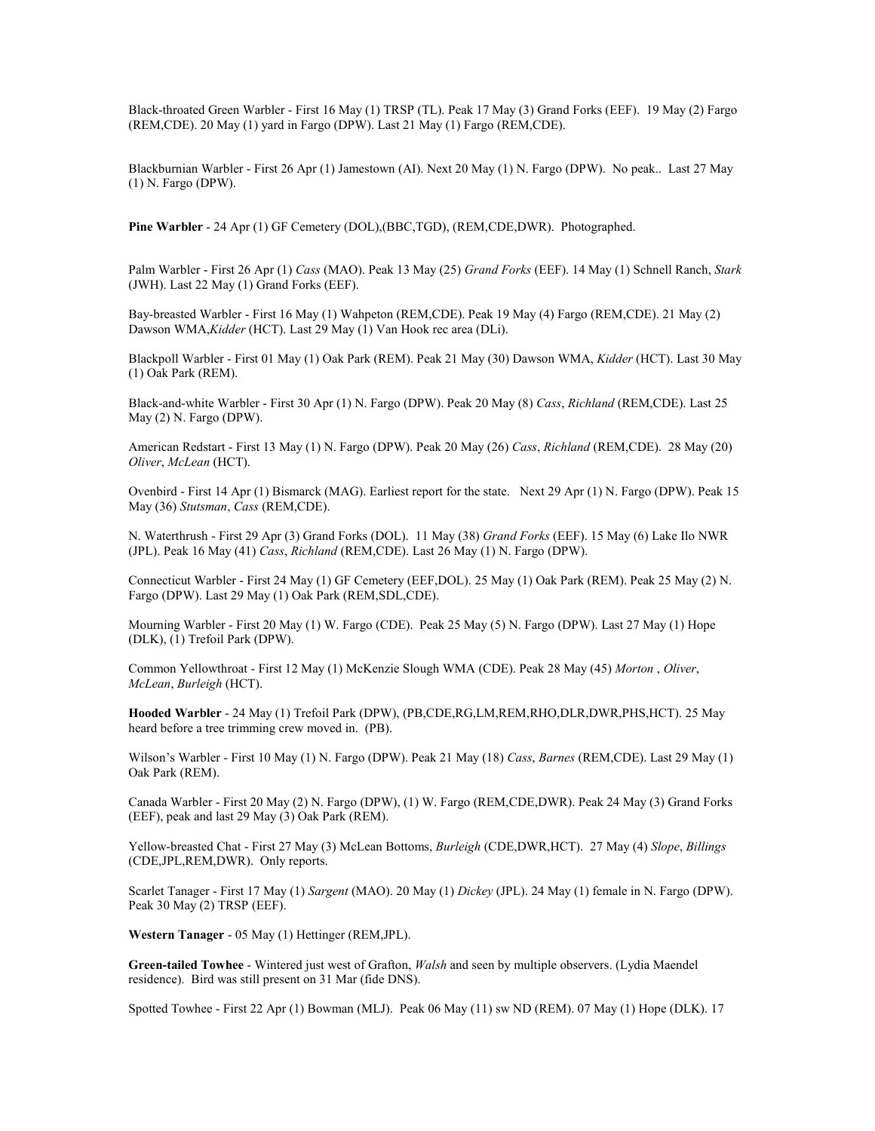Black-throated Green Warbler - First 16 May (1) TRSP (TL). Peak 17 May (3) Grand Forks (EEF). 19 May (2) Fargo (REM,CDE). 20 May (1) yard in Fargo (DPW). Last 21 May (1) Fargo (REM,CDE).

Blackburnian Warbler - First 26 Apr (1) Jamestown (AI). Next 20 May (1) N. Fargo (DPW). No peak.. Last 27 May (1) N. Fargo (DPW).

Pine Warbler - 24 Apr (1) GF Cemetery (DOL),(BBC,TGD), (REM,CDE,DWR). Photographed.

Palm Warbler - First 26 Apr (1) Cass (MAO). Peak 13 May (25) Grand Forks (EEF). 14 May (1) Schnell Ranch, Stark (JWH). Last 22 May (1) Grand Forks (EEF).

Bay-breasted Warbler - First 16 May (1) Wahpeton (REM,CDE). Peak 19 May (4) Fargo (REM,CDE). 21 May (2) Dawson WMA, Kidder (HCT). Last 29 May (1) Van Hook rec area (DLi).

Blackpoll Warbler - First 01 May (1) Oak Park (REM). Peak 21 May (30) Dawson WMA, Kidder (HCT). Last 30 May (1) Oak Park (REM).

Black-and-white Warbler - First 30 Apr (1) N. Fargo (DPW). Peak 20 May (8) Cass, Richland (REM,CDE). Last 25 May (2) N. Fargo (DPW).

American Redstart - First 13 May (1) N. Fargo (DPW). Peak 20 May (26) Cass, Richland (REM,CDE). 28 May (20) Oliver, McLean (HCT).

Ovenbird - First 14 Apr (1) Bismarck (MAG). Earliest report for the state. Next 29 Apr (1) N. Fargo (DPW). Peak 15 May (36) Stutsman, Cass (REM,CDE).

N. Waterthrush - First 29 Apr (3) Grand Forks (DOL). 11 May (38) Grand Forks (EEF). 15 May (6) Lake Ilo NWR (JPL). Peak 16 May (41) Cass, Richland (REM,CDE). Last 26 May (1) N. Fargo (DPW).

Connecticut Warbler - First 24 May (1) GF Cemetery (EEF,DOL). 25 May (1) Oak Park (REM). Peak 25 May (2) N. Fargo (DPW). Last 29 May (1) Oak Park (REM,SDL,CDE).

Mourning Warbler - First 20 May (1) W. Fargo (CDE). Peak 25 May (5) N. Fargo (DPW). Last 27 May (1) Hope (DLK), (1) Trefoil Park (DPW).

Common Yellowthroat - First 12 May (1) McKenzie Slough WMA (CDE). Peak 28 May (45) Morton , Oliver, McLean, Burleigh (HCT).

Hooded Warbler - 24 May (1) Trefoil Park (DPW), (PB,CDE,RG,LM,REM,RHO,DLR,DWR,PHS,HCT). 25 May heard before a tree trimming crew moved in. (PB).

Wilson's Warbler - First 10 May (1) N. Fargo (DPW). Peak 21 May (18) Cass, Barnes (REM,CDE). Last 29 May (1) Oak Park (REM).

Canada Warbler - First 20 May (2) N. Fargo (DPW), (1) W. Fargo (REM,CDE,DWR). Peak 24 May (3) Grand Forks (EEF), peak and last 29 May (3) Oak Park (REM).

Yellow-breasted Chat - First 27 May (3) McLean Bottoms, Burleigh (CDE,DWR,HCT). 27 May (4) Slope, Billings (CDE,JPL,REM,DWR). Only reports.

Scarlet Tanager - First 17 May (1) Sargent (MAO). 20 May (1) Dickey (JPL). 24 May (1) female in N. Fargo (DPW). Peak 30 May (2) TRSP (EEF).

Western Tanager - 05 May (1) Hettinger (REM,JPL).

Green-tailed Towhee - Wintered just west of Grafton, Walsh and seen by multiple observers. (Lydia Maendel residence). Bird was still present on 31 Mar (fide DNS).

Spotted Towhee - First 22 Apr (1) Bowman (MLJ). Peak 06 May (11) sw ND (REM). 07 May (1) Hope (DLK). 17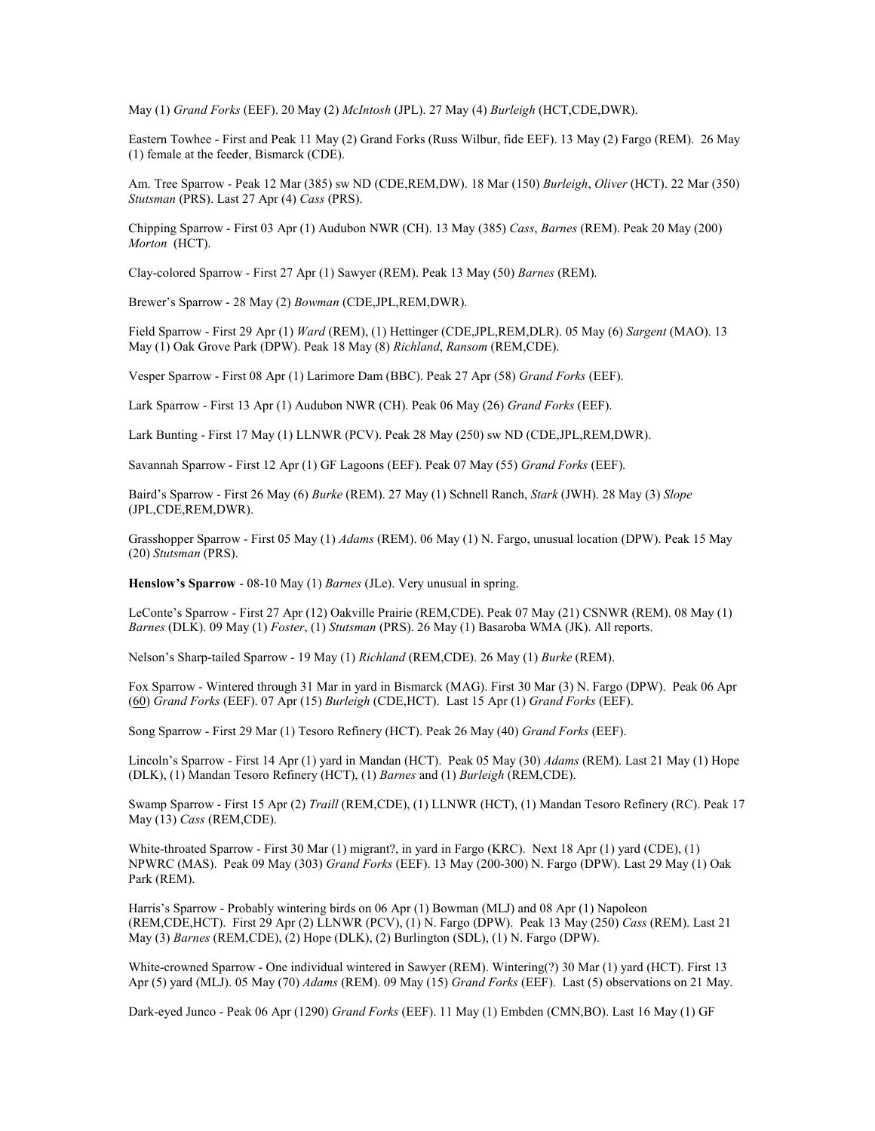May (1) Grand Forks (EEF). 20 May (2) McIntosh (JPL). 27 May (4) Burleigh (HCT,CDE,DWR).

Eastern Towhee - First and Peak 11 May (2) Grand Forks (Russ Wilbur, fide EEF). 13 May (2) Fargo (REM). 26 May (1) female at the feeder, Bismarck (CDE).

Am. Tree Sparrow - Peak 12 Mar (385) sw ND (CDE,REM,DW). 18 Mar (150) Burleigh, Oliver (HCT). 22 Mar (350) Stutsman (PRS). Last 27 Apr (4) Cass (PRS).

Chipping Sparrow - First 03 Apr (1) Audubon NWR (CH). 13 May (385) Cass, Barnes (REM). Peak 20 May (200) Morton (HCT).

Clay-colored Sparrow - First 27 Apr (1) Sawyer (REM). Peak 13 May (50) Barnes (REM).

Brewer's Sparrow - 28 May (2) Bowman (CDE,JPL,REM,DWR).

Field Sparrow - First 29 Apr (1) Ward (REM), (1) Hettinger (CDE,JPL,REM,DLR). 05 May (6) Sargent (MAO). 13 May (1) Oak Grove Park (DPW). Peak 18 May (8) Richland, Ransom (REM,CDE).

Vesper Sparrow - First 08 Apr (1) Larimore Dam (BBC). Peak 27 Apr (58) Grand Forks (EEF).

Lark Sparrow - First 13 Apr (1) Audubon NWR (CH). Peak 06 May (26) Grand Forks (EEF).

Lark Bunting - First 17 May (1) LLNWR (PCV). Peak 28 May (250) sw ND (CDE,JPL,REM,DWR).

Savannah Sparrow - First 12 Apr (1) GF Lagoons (EEF). Peak 07 May (55) Grand Forks (EEF).

Baird's Sparrow - First 26 May (6) Burke (REM). 27 May (1) Schnell Ranch, Stark (JWH). 28 May (3) Slope (JPL,CDE,REM,DWR).

Grasshopper Sparrow - First 05 May (1) Adams (REM). 06 May (1) N. Fargo, unusual location (DPW). Peak 15 May (20) Stutsman (PRS).

Henslow's Sparrow - 08-10 May (1) Barnes (JLe). Very unusual in spring.

LeConte's Sparrow - First 27 Apr (12) Oakville Prairie (REM,CDE). Peak 07 May (21) CSNWR (REM). 08 May (1) Barnes (DLK). 09 May (1) Foster, (1) Stutsman (PRS). 26 May (1) Basaroba WMA (JK). All reports.

Nelson's Sharp-tailed Sparrow - 19 May (1) Richland (REM,CDE). 26 May (1) Burke (REM).

Fox Sparrow - Wintered through 31 Mar in yard in Bismarck (MAG). First 30 Mar (3) N. Fargo (DPW). Peak 06 Apr (60) Grand Forks (EEF). 07 Apr (15) Burleigh (CDE,HCT). Last 15 Apr (1) Grand Forks (EEF).

Song Sparrow - First 29 Mar (1) Tesoro Refinery (HCT). Peak 26 May (40) Grand Forks (EEF).

Lincoln's Sparrow - First 14 Apr (1) yard in Mandan (HCT). Peak 05 May (30) Adams (REM). Last 21 May (1) Hope (DLK), (1) Mandan Tesoro Refinery (HCT), (1) Barnes and (1) Burleigh (REM,CDE).

Swamp Sparrow - First 15 Apr (2) Traill (REM,CDE), (1) LLNWR (HCT), (1) Mandan Tesoro Refinery (RC). Peak 17 May (13) Cass (REM,CDE).

White-throated Sparrow - First 30 Mar (1) migrant?, in yard in Fargo (KRC). Next 18 Apr (1) yard (CDE), (1) NPWRC (MAS). Peak 09 May (303) Grand Forks (EEF). 13 May (200-300) N. Fargo (DPW). Last 29 May (1) Oak Park (REM).

Harris's Sparrow - Probably wintering birds on 06 Apr (1) Bowman (MLJ) and 08 Apr (1) Napoleon (REM,CDE,HCT). First 29 Apr (2) LLNWR (PCV), (1) N. Fargo (DPW). Peak 13 May (250) Cass (REM). Last 21 May (3) Barnes (REM,CDE), (2) Hope (DLK), (2) Burlington (SDL), (1) N. Fargo (DPW).

White-crowned Sparrow - One individual wintered in Sawyer (REM). Wintering(?) 30 Mar (1) yard (HCT). First 13 Apr (5) yard (MLJ). 05 May (70) Adams (REM). 09 May (15) Grand Forks (EEF). Last (5) observations on 21 May.

Dark-eyed Junco - Peak 06 Apr (1290) Grand Forks (EEF). 11 May (1) Embden (CMN,BO). Last 16 May (1) GF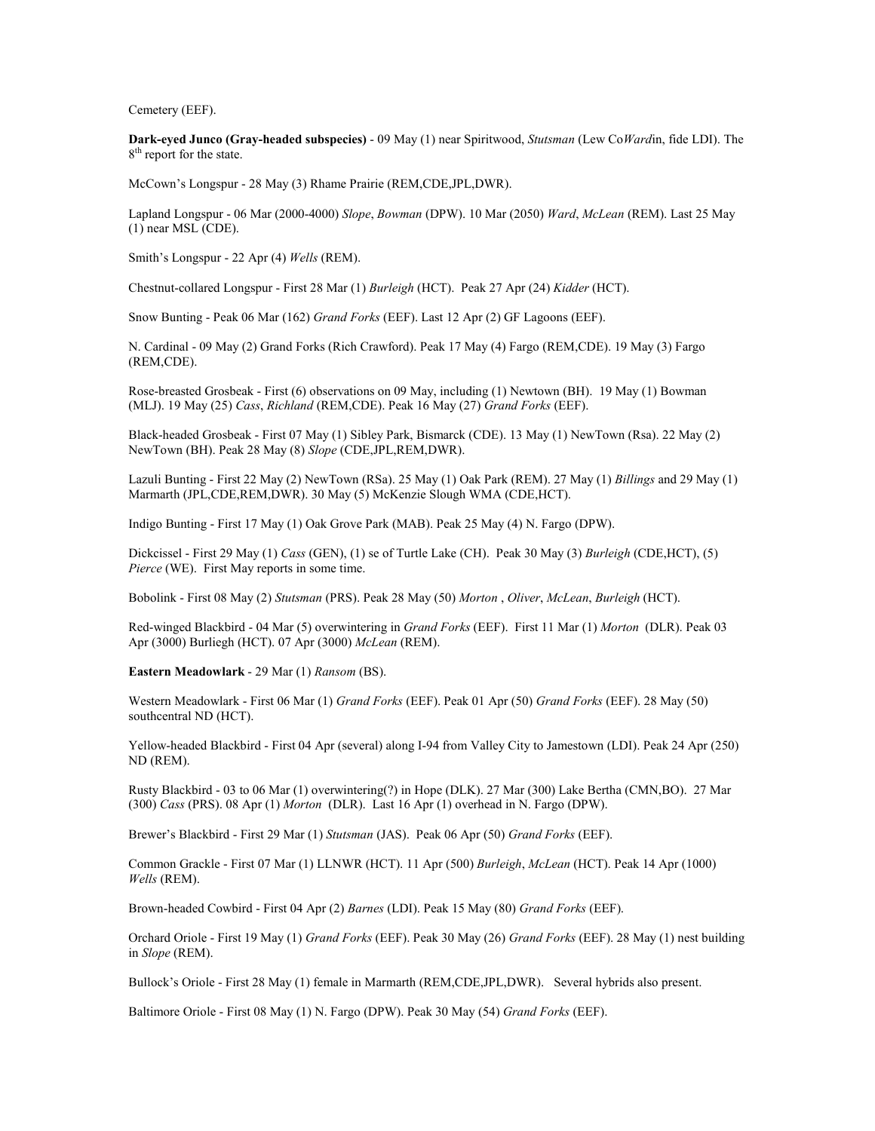Cemetery (EEF).

Dark-eyed Junco (Gray-headed subspecies) - 09 May (1) near Spiritwood, Stutsman (Lew CoWardin, fide LDI). The 8<sup>th</sup> report for the state.

McCown's Longspur - 28 May (3) Rhame Prairie (REM,CDE,JPL,DWR).

Lapland Longspur - 06 Mar (2000-4000) Slope, Bowman (DPW). 10 Mar (2050) Ward, McLean (REM). Last 25 May (1) near MSL (CDE).

Smith's Longspur - 22 Apr (4) Wells (REM).

Chestnut-collared Longspur - First 28 Mar (1) Burleigh (HCT). Peak 27 Apr (24) Kidder (HCT).

Snow Bunting - Peak 06 Mar (162) Grand Forks (EEF). Last 12 Apr (2) GF Lagoons (EEF).

N. Cardinal - 09 May (2) Grand Forks (Rich Crawford). Peak 17 May (4) Fargo (REM,CDE). 19 May (3) Fargo (REM,CDE).

Rose-breasted Grosbeak - First (6) observations on 09 May, including (1) Newtown (BH). 19 May (1) Bowman (MLJ). 19 May (25) Cass, Richland (REM,CDE). Peak 16 May (27) Grand Forks (EEF).

Black-headed Grosbeak - First 07 May (1) Sibley Park, Bismarck (CDE). 13 May (1) NewTown (Rsa). 22 May (2) NewTown (BH). Peak 28 May (8) Slope (CDE,JPL,REM,DWR).

Lazuli Bunting - First 22 May (2) NewTown (RSa). 25 May (1) Oak Park (REM). 27 May (1) Billings and 29 May (1) Marmarth (JPL,CDE,REM,DWR). 30 May (5) McKenzie Slough WMA (CDE,HCT).

Indigo Bunting - First 17 May (1) Oak Grove Park (MAB). Peak 25 May (4) N. Fargo (DPW).

Dickcissel - First 29 May (1) Cass (GEN), (1) se of Turtle Lake (CH). Peak 30 May (3) Burleigh (CDE,HCT), (5) Pierce (WE). First May reports in some time.

Bobolink - First 08 May (2) Stutsman (PRS). Peak 28 May (50) Morton , Oliver, McLean, Burleigh (HCT).

Red-winged Blackbird - 04 Mar (5) overwintering in Grand Forks (EEF). First 11 Mar (1) Morton (DLR). Peak 03 Apr (3000) Burliegh (HCT). 07 Apr (3000) McLean (REM).

Eastern Meadowlark - 29 Mar (1) Ransom (BS).

Western Meadowlark - First 06 Mar (1) Grand Forks (EEF). Peak 01 Apr (50) Grand Forks (EEF). 28 May (50) southcentral ND (HCT).

Yellow-headed Blackbird - First 04 Apr (several) along I-94 from Valley City to Jamestown (LDI). Peak 24 Apr (250) ND (REM).

Rusty Blackbird - 03 to 06 Mar (1) overwintering(?) in Hope (DLK). 27 Mar (300) Lake Bertha (CMN,BO). 27 Mar (300) Cass (PRS). 08 Apr (1) Morton (DLR). Last 16 Apr (1) overhead in N. Fargo (DPW).

Brewer's Blackbird - First 29 Mar (1) Stutsman (JAS). Peak 06 Apr (50) Grand Forks (EEF).

Common Grackle - First 07 Mar (1) LLNWR (HCT). 11 Apr (500) Burleigh, McLean (HCT). Peak 14 Apr (1000) Wells (REM).

Brown-headed Cowbird - First 04 Apr (2) Barnes (LDI). Peak 15 May (80) Grand Forks (EEF).

Orchard Oriole - First 19 May (1) Grand Forks (EEF). Peak 30 May (26) Grand Forks (EEF). 28 May (1) nest building in Slope (REM).

Bullock's Oriole - First 28 May (1) female in Marmarth (REM,CDE,JPL,DWR). Several hybrids also present.

Baltimore Oriole - First 08 May (1) N. Fargo (DPW). Peak 30 May (54) Grand Forks (EEF).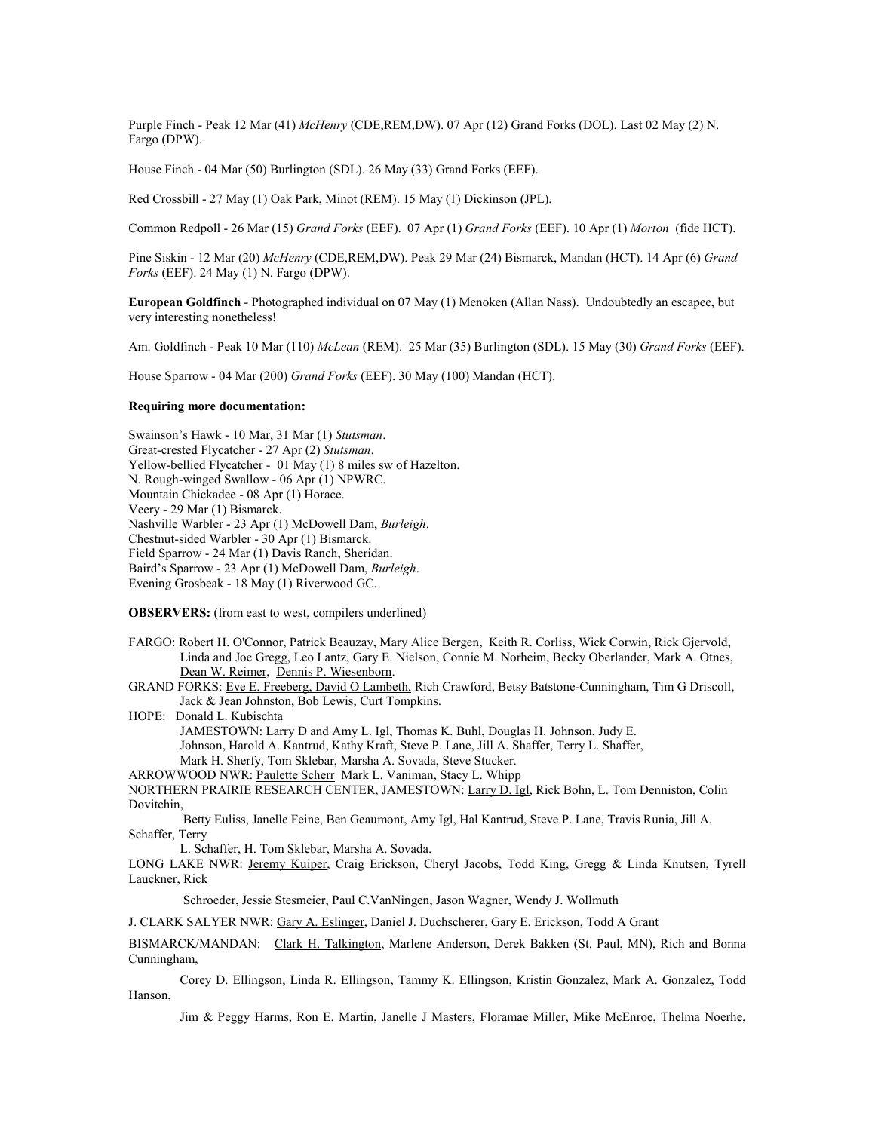Purple Finch - Peak 12 Mar (41) McHenry (CDE,REM,DW). 07 Apr (12) Grand Forks (DOL). Last 02 May (2) N. Fargo (DPW).

House Finch - 04 Mar (50) Burlington (SDL). 26 May (33) Grand Forks (EEF).

Red Crossbill - 27 May (1) Oak Park, Minot (REM). 15 May (1) Dickinson (JPL).

Common Redpoll - 26 Mar (15) Grand Forks (EEF). 07 Apr (1) Grand Forks (EEF). 10 Apr (1) Morton (fide HCT).

Pine Siskin - 12 Mar (20) McHenry (CDE,REM,DW). Peak 29 Mar (24) Bismarck, Mandan (HCT). 14 Apr (6) Grand Forks (EEF). 24 May (1) N. Fargo (DPW).

European Goldfinch - Photographed individual on 07 May (1) Menoken (Allan Nass). Undoubtedly an escapee, but very interesting nonetheless!

Am. Goldfinch - Peak 10 Mar (110) McLean (REM). 25 Mar (35) Burlington (SDL). 15 May (30) Grand Forks (EEF).

House Sparrow - 04 Mar (200) Grand Forks (EEF). 30 May (100) Mandan (HCT).

#### Requiring more documentation:

Swainson's Hawk - 10 Mar, 31 Mar (1) Stutsman. Great-crested Flycatcher - 27 Apr (2) Stutsman. Yellow-bellied Flycatcher - 01 May (1) 8 miles sw of Hazelton. N. Rough-winged Swallow - 06 Apr (1) NPWRC. Mountain Chickadee - 08 Apr (1) Horace. Veery - 29 Mar (1) Bismarck. Nashville Warbler - 23 Apr (1) McDowell Dam, Burleigh. Chestnut-sided Warbler - 30 Apr (1) Bismarck. Field Sparrow - 24 Mar (1) Davis Ranch, Sheridan. Baird's Sparrow - 23 Apr (1) McDowell Dam, Burleigh. Evening Grosbeak - 18 May (1) Riverwood GC.

OBSERVERS: (from east to west, compilers underlined)

FARGO: Robert H. O'Connor, Patrick Beauzay, Mary Alice Bergen, Keith R. Corliss, Wick Corwin, Rick Gjervold, Linda and Joe Gregg, Leo Lantz, Gary E. Nielson, Connie M. Norheim, Becky Oberlander, Mark A. Otnes, Dean W. Reimer, Dennis P. Wiesenborn.

GRAND FORKS: Eve E. Freeberg, David O Lambeth, Rich Crawford, Betsy Batstone-Cunningham, Tim G Driscoll, Jack & Jean Johnston, Bob Lewis, Curt Tompkins.

HOPE: Donald L. Kubischta JAMESTOWN: Larry D and Amy L. Igl, Thomas K. Buhl, Douglas H. Johnson, Judy E. Johnson, Harold A. Kantrud, Kathy Kraft, Steve P. Lane, Jill A. Shaffer, Terry L. Shaffer, Mark H. Sherfy, Tom Sklebar, Marsha A. Sovada, Steve Stucker.

ARROWWOOD NWR: Paulette Scherr Mark L. Vaniman, Stacy L. Whipp NORTHERN PRAIRIE RESEARCH CENTER, JAMESTOWN: Larry D. Igl, Rick Bohn, L. Tom Denniston, Colin Dovitchin,

 Betty Euliss, Janelle Feine, Ben Geaumont, Amy Igl, Hal Kantrud, Steve P. Lane, Travis Runia, Jill A. Schaffer, Terry

L. Schaffer, H. Tom Sklebar, Marsha A. Sovada.

LONG LAKE NWR: Jeremy Kuiper, Craig Erickson, Cheryl Jacobs, Todd King, Gregg & Linda Knutsen, Tyrell Lauckner, Rick

Schroeder, Jessie Stesmeier, Paul C.VanNingen, Jason Wagner, Wendy J. Wollmuth

J. CLARK SALYER NWR: Gary A. Eslinger, Daniel J. Duchscherer, Gary E. Erickson, Todd A Grant

BISMARCK/MANDAN: Clark H. Talkington, Marlene Anderson, Derek Bakken (St. Paul, MN), Rich and Bonna Cunningham,

 Corey D. Ellingson, Linda R. Ellingson, Tammy K. Ellingson, Kristin Gonzalez, Mark A. Gonzalez, Todd Hanson,

Jim & Peggy Harms, Ron E. Martin, Janelle J Masters, Floramae Miller, Mike McEnroe, Thelma Noerhe,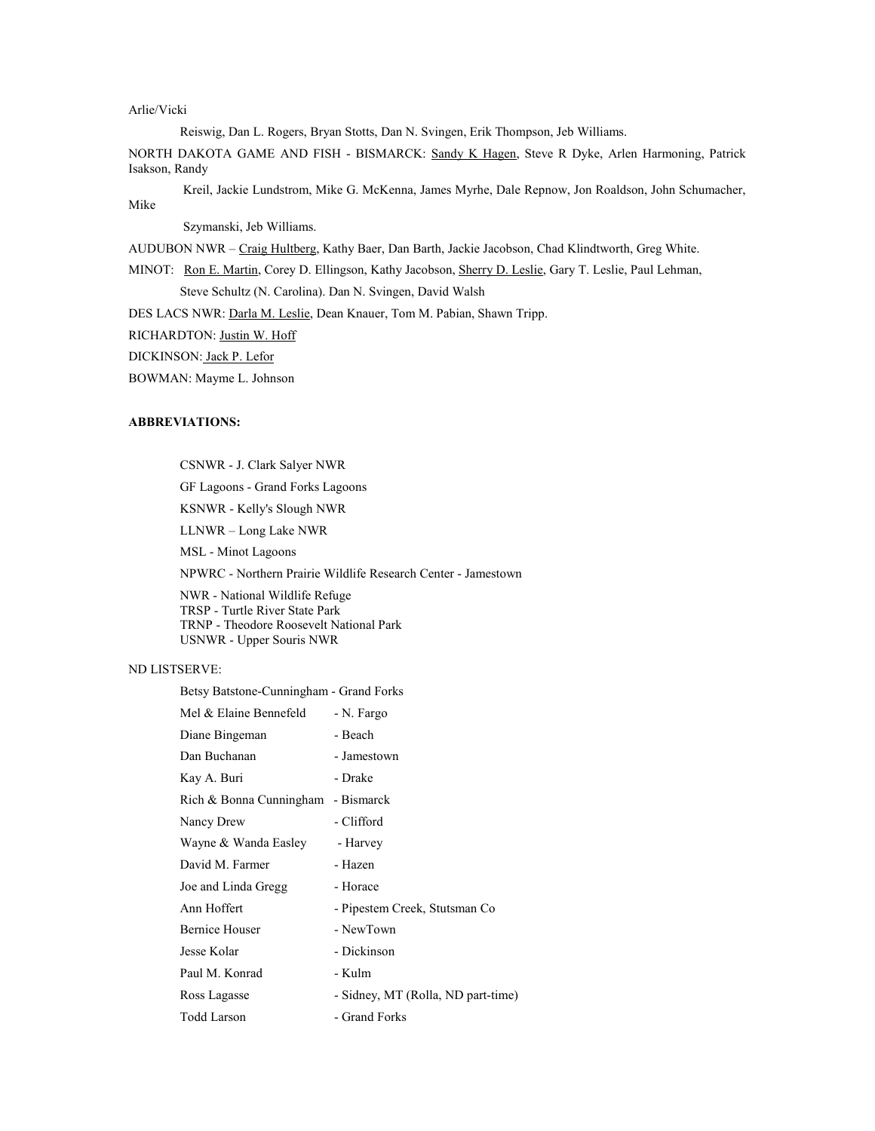# Arlie/Vicki

Reiswig, Dan L. Rogers, Bryan Stotts, Dan N. Svingen, Erik Thompson, Jeb Williams.

NORTH DAKOTA GAME AND FISH - BISMARCK: Sandy K Hagen, Steve R Dyke, Arlen Harmoning, Patrick Isakson, Randy

 Kreil, Jackie Lundstrom, Mike G. McKenna, James Myrhe, Dale Repnow, Jon Roaldson, John Schumacher, Mike

Szymanski, Jeb Williams.

AUDUBON NWR – Craig Hultberg, Kathy Baer, Dan Barth, Jackie Jacobson, Chad Klindtworth, Greg White.

MINOT: Ron E. Martin, Corey D. Ellingson, Kathy Jacobson, Sherry D. Leslie, Gary T. Leslie, Paul Lehman,

Steve Schultz (N. Carolina). Dan N. Svingen, David Walsh

DES LACS NWR: Darla M. Leslie, Dean Knauer, Tom M. Pabian, Shawn Tripp.

RICHARDTON: Justin W. Hoff

DICKINSON: Jack P. Lefor

BOWMAN: Mayme L. Johnson

### ABBREVIATIONS:

CSNWR - J. Clark Salyer NWR

GF Lagoons - Grand Forks Lagoons

KSNWR - Kelly's Slough NWR

LLNWR – Long Lake NWR

MSL - Minot Lagoons

NPWRC - Northern Prairie Wildlife Research Center - Jamestown

 NWR - National Wildlife Refuge TRSP - Turtle River State Park TRNP - Theodore Roosevelt National Park USNWR - Upper Souris NWR

## ND LISTSERVE:

Betsy Batstone-Cunningham - Grand Forks

| Mel & Elaine Bennefeld  | - N. Fargo                         |
|-------------------------|------------------------------------|
| Diane Bingeman          | - Beach                            |
| Dan Buchanan            | - Jamestown                        |
| Kay A. Buri             | - Drake                            |
| Rich & Bonna Cunningham | - Bismarck                         |
| Nancy Drew              | - Clifford                         |
| Wayne & Wanda Easley    | - Harvey                           |
| David M. Farmer         | - Hazen                            |
| Joe and Linda Gregg     | - Horace                           |
| Ann Hoffert             | - Pipestem Creek, Stutsman Co      |
| <b>Bernice Houser</b>   | - NewTown                          |
| Jesse Kolar             | - Dickinson                        |
| Paul M. Konrad          | - Kulm                             |
| Ross Lagasse            | - Sidney, MT (Rolla, ND part-time) |
| <b>Todd Larson</b>      | - Grand Forks                      |